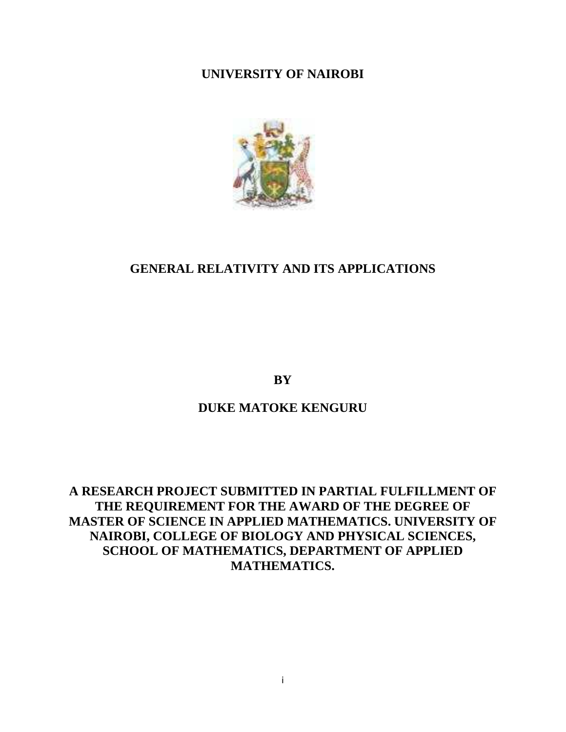### **UNIVERSITY OF NAIROBI**



### **GENERAL RELATIVITY AND ITS APPLICATIONS**

**BY** 

### **DUKE MATOKE KENGURU**

**A RESEARCH PROJECT SUBMITTED IN PARTIAL FULFILLMENT OF THE REQUIREMENT FOR THE AWARD OF THE DEGREE OF MASTER OF SCIENCE IN APPLIED MATHEMATICS. UNIVERSITY OF NAIROBI, COLLEGE OF BIOLOGY AND PHYSICAL SCIENCES, SCHOOL OF MATHEMATICS, DEPARTMENT OF APPLIED MATHEMATICS.**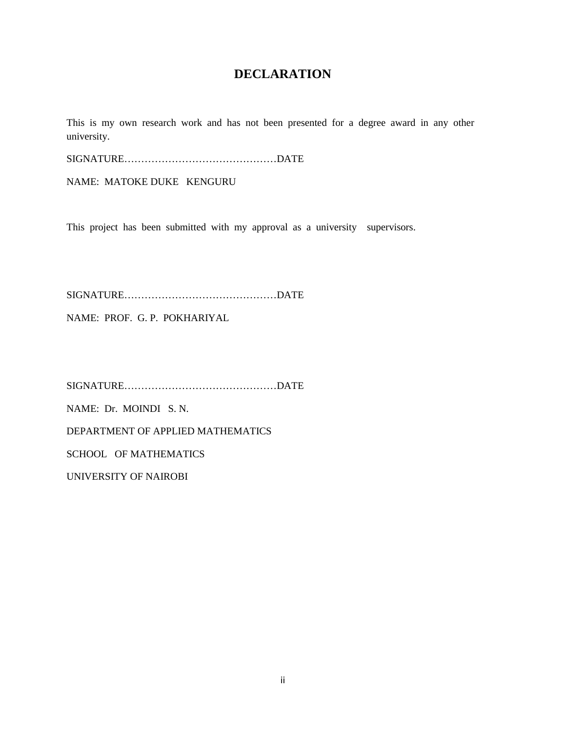### **DECLARATION**

This is my own research work and has not been presented for a degree award in any other university.

SIGNATURE………………………………………DATE

NAME: MATOKE DUKE KENGURU

This project has been submitted with my approval as a university supervisors.

SIGNATURE………………………………………DATE

NAME: PROF. G. P. POKHARIYAL

SIGNATURE………………………………………DATE

NAME: Dr. MOINDI S. N.

DEPARTMENT OF APPLIED MATHEMATICS

SCHOOL OF MATHEMATICS

UNIVERSITY OF NAIROBI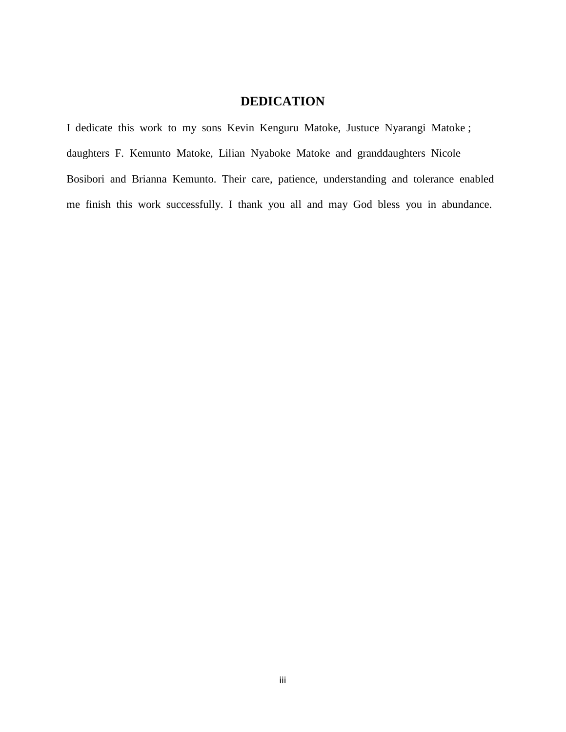### **DEDICATION**

I dedicate this work to my sons Kevin Kenguru Matoke, Justuce Nyarangi Matoke ; daughters F. Kemunto Matoke, Lilian Nyaboke Matoke and granddaughters Nicole Bosibori and Brianna Kemunto. Their care, patience, understanding and tolerance enabled me finish this work successfully. I thank you all and may God bless you in abundance.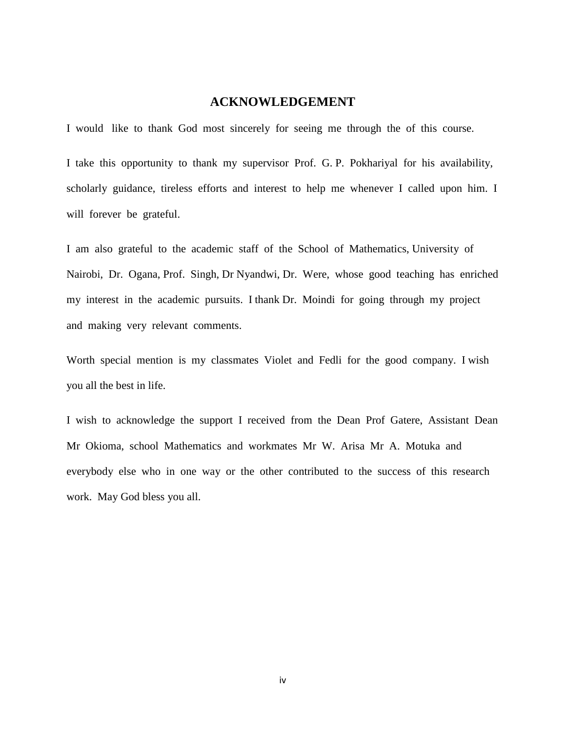#### **ACKNOWLEDGEMENT**

I would like to thank God most sincerely for seeing me through the of this course.

I take this opportunity to thank my supervisor Prof. G. P. Pokhariyal for his availability, scholarly guidance, tireless efforts and interest to help me whenever I called upon him. I will forever be grateful.

I am also grateful to the academic staff of the School of Mathematics, University of Nairobi, Dr. Ogana, Prof. Singh, Dr Nyandwi, Dr. Were, whose good teaching has enriched my interest in the academic pursuits. I thank Dr. Moindi for going through my project and making very relevant comments.

Worth special mention is my classmates Violet and Fedli for the good company. I wish you all the best in life.

I wish to acknowledge the support I received from the Dean Prof Gatere, Assistant Dean Mr Okioma, school Mathematics and workmates Mr W. Arisa Mr A. Motuka and everybody else who in one way or the other contributed to the success of this research work. May God bless you all.

iv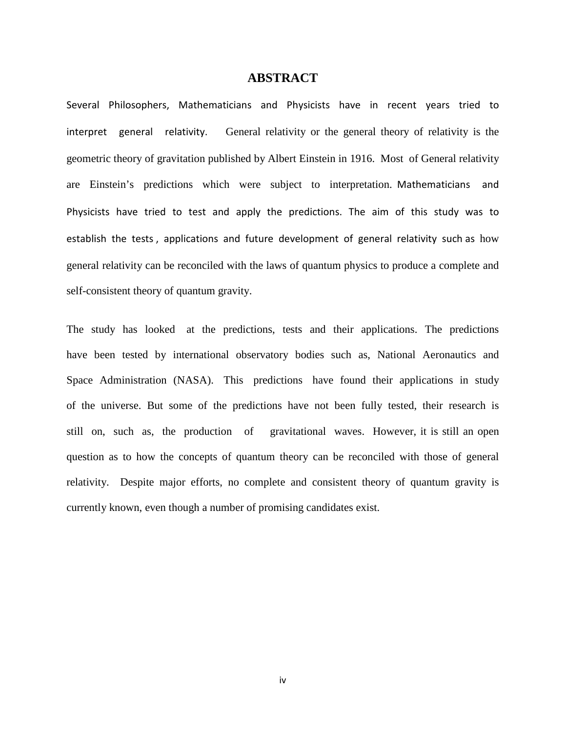#### **ABSTRACT**

Several Philosophers, Mathematicians and Physicists have in recent years tried to interpret general relativity. General relativity or the general theory of relativity is the geometric theory of gravitation published by Albert Einstein in 1916. Most of General relativity are Einstein's predictions which were subject to interpretation. Mathematicians and Physicists have tried to test and apply the predictions. The aim of this study was to establish the tests , applications and future development of general relativity such as how general relativity can be reconciled with the laws of quantum physics to produce a complete and self-consistent theory of quantum gravity.

The study has looked at the predictions, tests and their applications. The predictions have been tested by international observatory bodies such as, National Aeronautics and Space Administration (NASA). This predictions have found their applications in study of the universe. But some of the predictions have not been fully tested, their research is still on, such as, the production of gravitational waves. However, it is still an open question as to how the concepts of quantum theory can be reconciled with those of general relativity. Despite major efforts, no complete and consistent theory of quantum gravity is currently known, even though a number of promising candidates exist.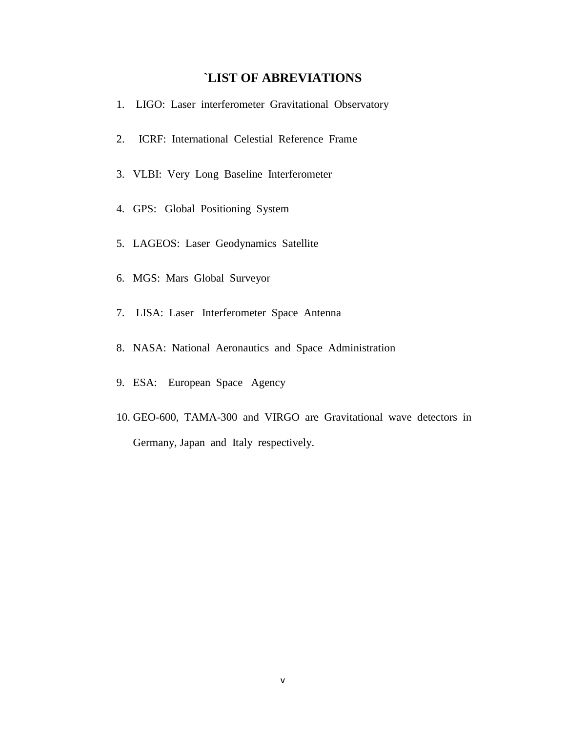### **`LIST OF ABREVIATIONS**

- 1. LIGO: Laser interferometer Gravitational Observatory
- 2. ICRF: International Celestial Reference Frame
- 3. VLBI: Very Long Baseline Interferometer
- 4. GPS: Global Positioning System
- 5. LAGEOS: Laser Geodynamics Satellite
- 6. MGS: Mars Global Surveyor
- 7. LISA: Laser Interferometer Space Antenna
- 8. NASA: National Aeronautics and Space Administration
- 9. ESA: European Space Agency
- 10. GEO-600, TAMA-300 and VIRGO are Gravitational wave detectors in Germany, Japan and Italy respectively.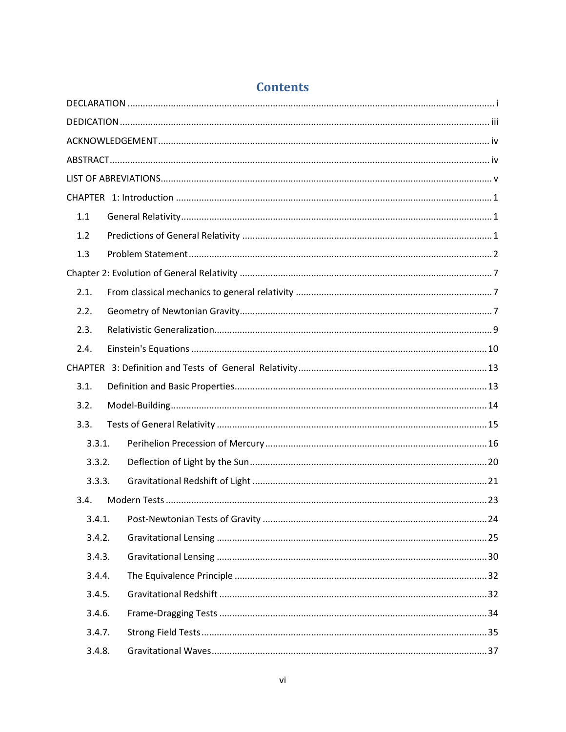| 1.1    |  |
|--------|--|
| 1.2    |  |
| 1.3    |  |
|        |  |
| 2.1.   |  |
| 2.2.   |  |
| 2.3.   |  |
| 2.4.   |  |
|        |  |
| 3.1.   |  |
| 3.2.   |  |
| 3.3.   |  |
| 3.3.1. |  |
| 3.3.2. |  |
| 3.3.3. |  |
| 3.4.   |  |
| 3.4.1. |  |
| 3.4.2. |  |
| 3.4.3. |  |
| 3.4.4. |  |
| 3.4.5. |  |
| 3.4.6. |  |
| 3.4.7. |  |
| 3.4.8. |  |

### **Contents**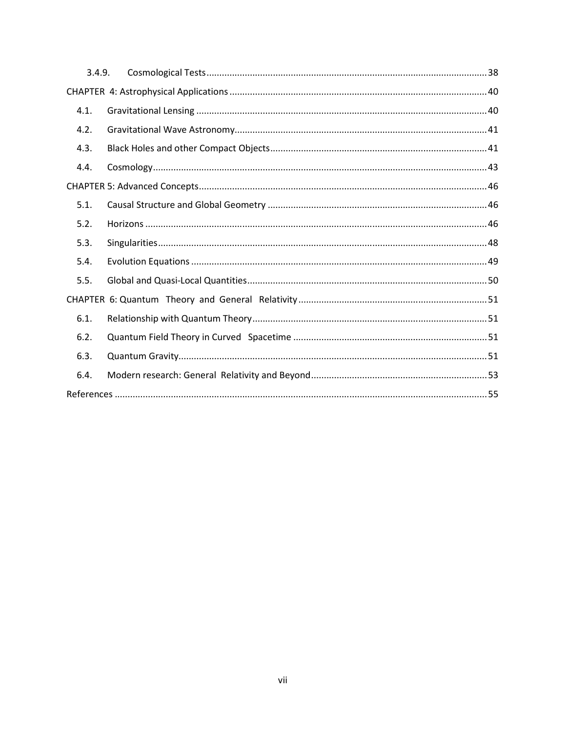| 3.4.9. |  |  |  |
|--------|--|--|--|
|        |  |  |  |
| 4.1.   |  |  |  |
| 4.2.   |  |  |  |
| 4.3.   |  |  |  |
| 4.4.   |  |  |  |
|        |  |  |  |
| 5.1.   |  |  |  |
| 5.2.   |  |  |  |
| 5.3.   |  |  |  |
| 5.4.   |  |  |  |
| 5.5.   |  |  |  |
|        |  |  |  |
| 6.1.   |  |  |  |
| 6.2.   |  |  |  |
| 6.3.   |  |  |  |
| 6.4.   |  |  |  |
|        |  |  |  |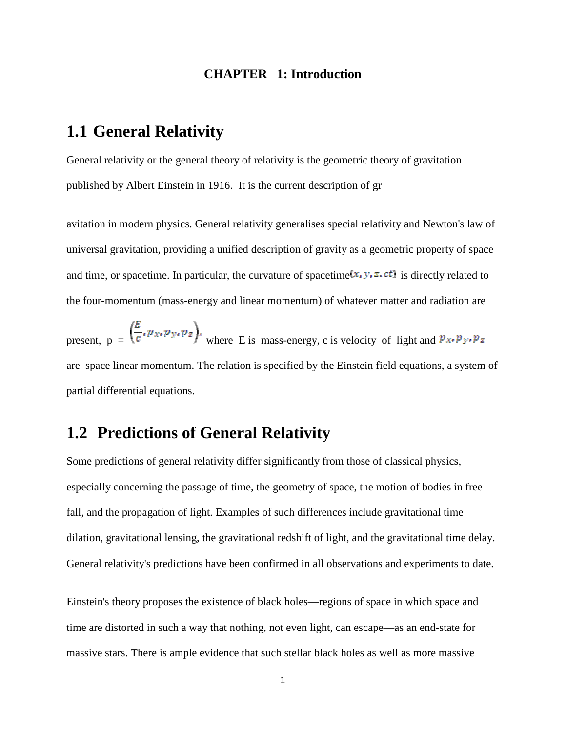#### **CHAPTER 1: Introduction**

### **1.1 General Relativity**

General relativity or the general theory of relativity is the geometric theory of gravitation published by Albert Einstein in 1916. It is the current description of gr

avitation in modern physics. General relativity generalises special relativity and Newton's law of universal gravitation, providing a unified description of gravity as a geometric property of space and time, or spacetime. In particular, the curvature of spacetime  $(x, y, z, ct)$  is directly related to the four-momentum (mass-energy and linear momentum) of whatever matter and radiation are

present,  $p = \left(\frac{E}{c} \cdot p_{x}, p_{y}, p_{z}\right)$ , where E is mass-energy, c is velocity of light and  $p_{x}, p_{y}, p_{z}$ are space linear momentum. The relation is specified by the Einstein field equations, a system of partial differential equations.

# **1.2 Predictions of General Relativity**

Some predictions of general relativity differ significantly from those of classical physics, especially concerning the passage of time, the geometry of space, the motion of bodies in free fall, and the propagation of light. Examples of such differences include gravitational time dilation, gravitational lensing, the gravitational redshift of light, and the gravitational time delay. General relativity's predictions have been confirmed in all observations and experiments to date.

Einstein's theory proposes the existence of black holes—regions of space in which space and time are distorted in such a way that nothing, not even light, can escape—as an end-state for massive stars. There is ample evidence that such stellar black holes as well as more massive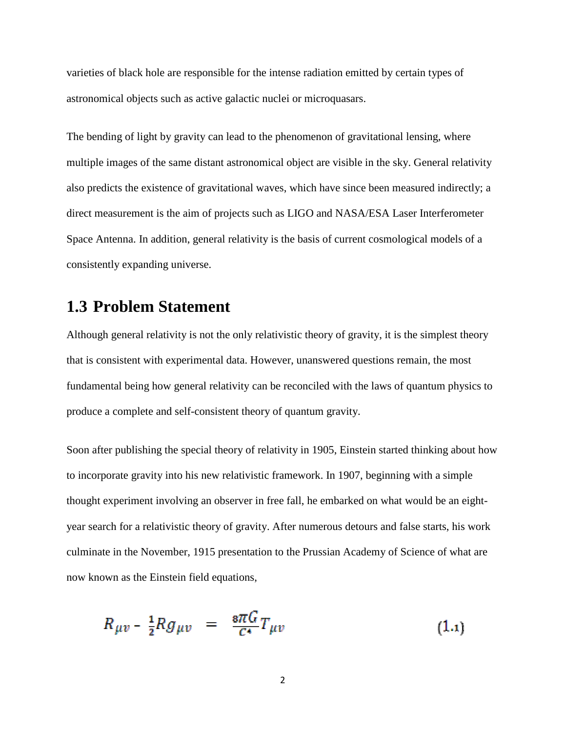varieties of black hole are responsible for the intense radiation emitted by certain types of astronomical objects such as active galactic nuclei or microquasars.

The bending of light by gravity can lead to the phenomenon of gravitational lensing, where multiple images of the same distant astronomical object are visible in the sky. General relativity also predicts the existence of gravitational waves, which have since been measured indirectly; a direct measurement is the aim of projects such as LIGO and NASA/ESA Laser Interferometer Space Antenna. In addition, general relativity is the basis of current cosmological models of a consistently expanding universe.

## **1.3 Problem Statement**

Although general relativity is not the only relativistic theory of gravity, it is the simplest theory that is consistent with experimental data. However, unanswered questions remain, the most fundamental being how general relativity can be reconciled with the laws of quantum physics to produce a complete and self-consistent theory of quantum gravity.

Soon after publishing the special theory of relativity in 1905, Einstein started thinking about how to incorporate gravity into his new relativistic framework. In 1907, beginning with a simple thought experiment involving an observer in free fall, he embarked on what would be an eightyear search for a relativistic theory of gravity. After numerous detours and false starts, his work culminate in the November, 1915 presentation to the Prussian Academy of Science of what are now known as the Einstein field equations,

$$
R_{\mu\nu} - \frac{1}{2} R g_{\mu\nu} = \frac{8\pi G}{c^4} T_{\mu\nu} \tag{1.1}
$$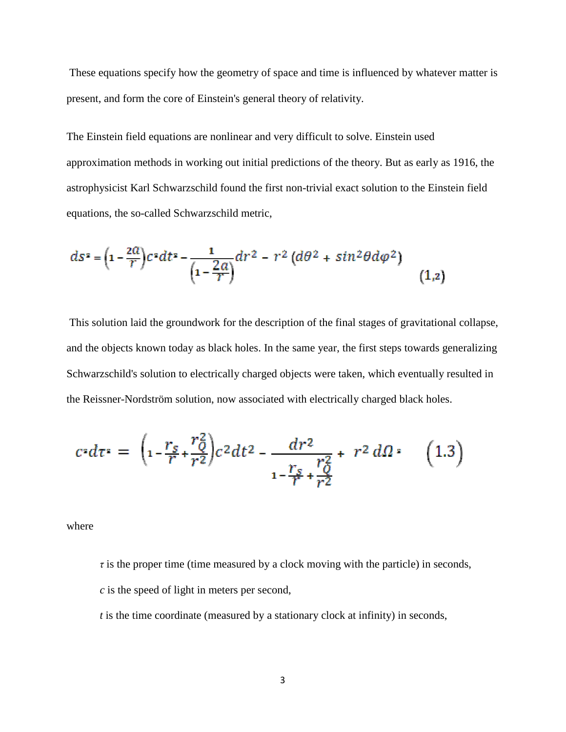These equations specify how the geometry of space and time is influenced by whatever matter is present, and form the core of Einstein's general theory of relativity.

The Einstein field equations are nonlinear and very difficult to solve. Einstein used approximation methods in working out initial predictions of the theory. But as early as 1916, the astrophysicist Karl Schwarzschild found the first non-trivial exact solution to the Einstein field equations, the so-called Schwarzschild metric,

$$
ds^{2} = \left(1 - \frac{2a}{r}\right)c^{2}dt^{2} - \frac{1}{\left(1 - \frac{2a}{r}\right)}dr^{2} - r^{2}\left(d\theta^{2} + \sin^{2}\theta d\varphi^{2}\right)
$$
(1,2)

 This solution laid the groundwork for the description of the final stages of gravitational collapse, and the objects known today as black holes. In the same year, the first steps towards generalizing Schwarzschild's solution to electrically charged objects were taken, which eventually resulted in the Reissner-Nordström solution, now associated with electrically charged black holes.

$$
c^2 \, d\tau^2 \, = \, \bigg( 1 - \frac{r_s}{r} + \frac{r_Q^2}{r^2} \bigg) c^2 \, dt^2 \, - \, \frac{dr^2}{1 - \frac{r_s}{r} + \frac{r_Q^2}{r^2}} + \, r^2 \, d\Omega^2 \, \bigg( 1.3 \bigg)
$$

where

 $\tau$  is the proper time (time measured by a clock moving with the particle) in seconds, *c* is the speed of light in meters per second,

*t* is the time coordinate (measured by a stationary clock at infinity) in seconds,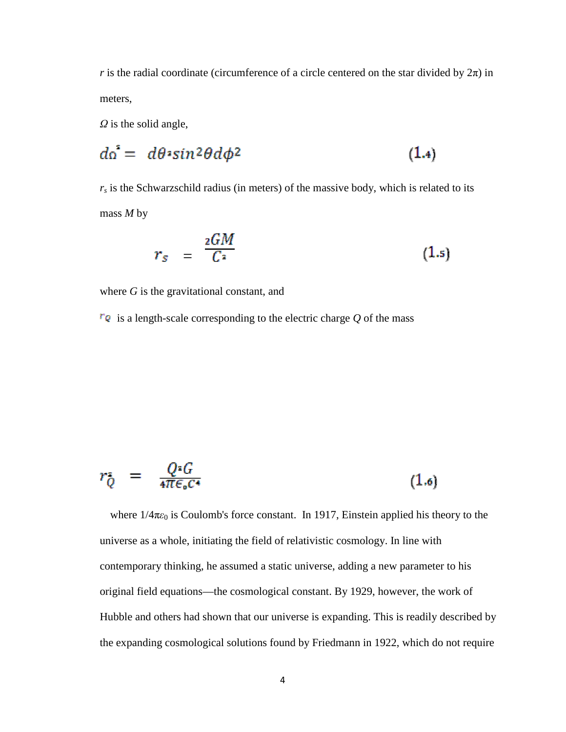*r* is the radial coordinate (circumference of a circle centered on the star divided by  $2\pi$ ) in meters,

 $\Omega$  is the solid angle,

#### $d\sigma^2 = d\theta^2 sin^2\theta d\phi^2$  $(1.4)$

 $r<sub>s</sub>$  is the Schwarzschild radius (in meters) of the massive body, which is related to its mass *M* by

$$
r_s = \frac{{2GM}}{C^2}
$$
 (1.5)

where *G* is the gravitational constant, and

 $\pm$   $\pm$ 

 $\overline{r}$ **a** is a length-scale corresponding to the electric charge Q of the mass

$$
r_{\bar{Q}}^* = \frac{Q^*G}{4\pi\epsilon_0 c^*} \tag{1.6}
$$

where  $1/4\pi\varepsilon_0$  is Coulomb's force constant. In 1917, Einstein applied his theory to the universe as a whole, initiating the field of relativistic cosmology. In line with contemporary thinking, he assumed a static universe, adding a new parameter to his original field equations—the cosmological constant. By 1929, however, the work of Hubble and others had shown that our universe is expanding. This is readily described by the expanding cosmological solutions found by Friedmann in 1922, which do not require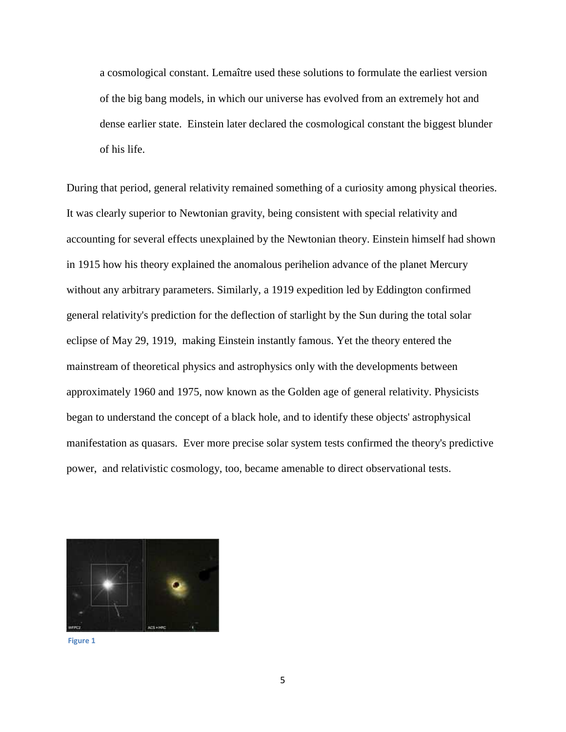a cosmological constant. Lemaître used these solutions to formulate the earliest version of the big bang models, in which our universe has evolved from an extremely hot and dense earlier state. Einstein later declared the cosmological constant the biggest blunder of his life.

During that period, general relativity remained something of a curiosity among physical theories. It was clearly superior to Newtonian gravity, being consistent with special relativity and accounting for several effects unexplained by the Newtonian theory. Einstein himself had shown in 1915 how his theory explained the anomalous perihelion advance of the planet Mercury without any arbitrary parameters. Similarly, a 1919 expedition led by Eddington confirmed general relativity's prediction for the deflection of starlight by the Sun during the total solar eclipse of May 29, 1919, making Einstein instantly famous. Yet the theory entered the mainstream of theoretical physics and astrophysics only with the developments between approximately 1960 and 1975, now known as the Golden age of general relativity. Physicists began to understand the concept of a black hole, and to identify these objects' astrophysical manifestation as quasars. Ever more precise solar system tests confirmed the theory's predictive power, and relativistic cosmology, too, became amenable to direct observational tests.



Figure 1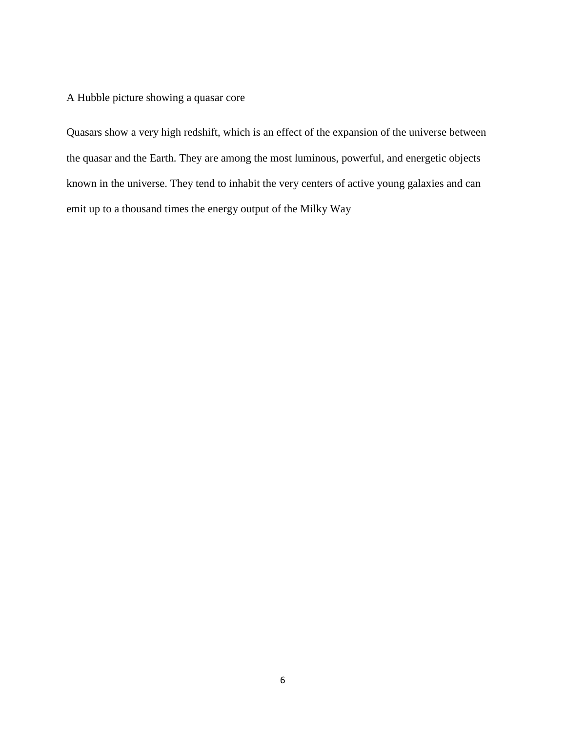### A Hubble picture showing a quasar core

Quasars show a very high redshift, which is an effect of the expansion of the universe between the quasar and the Earth. They are among the most luminous, powerful, and energetic objects known in the universe. They tend to inhabit the very centers of active young galaxies and can emit up to a thousand times the energy output of the Milky Way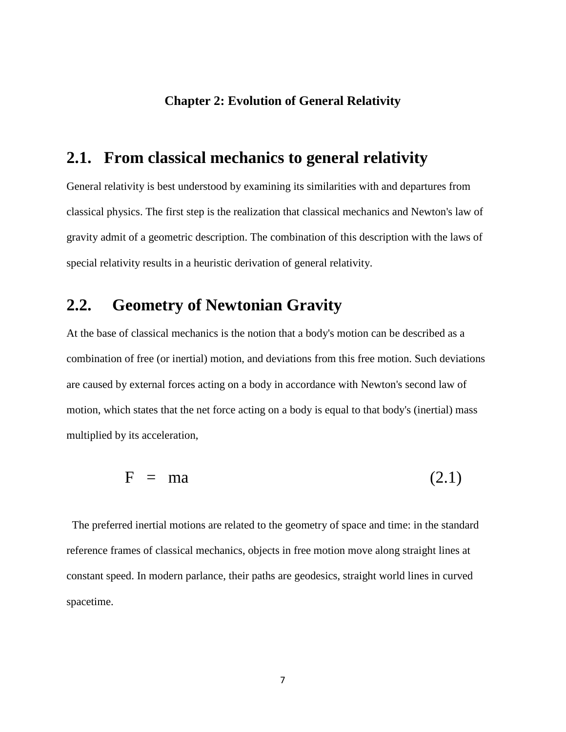### **Chapter 2: Evolution of General Relativity**

### **2.1. From classical mechanics to general relativity**

General relativity is best understood by examining its similarities with and departures from classical physics. The first step is the realization that classical mechanics and Newton's law of gravity admit of a geometric description. The combination of this description with the laws of special relativity results in a heuristic derivation of general relativity.

# **2.2. Geometry of Newtonian Gravity**

At the base of classical mechanics is the notion that a body's motion can be described as a combination of free (or inertial) motion, and deviations from this free motion. Such deviations are caused by external forces acting on a body in accordance with Newton's second law of motion, which states that the net force acting on a body is equal to that body's (inertial) mass multiplied by its acceleration,

$$
F = ma \tag{2.1}
$$

 The preferred inertial motions are related to the geometry of space and time: in the standard reference frames of classical mechanics, objects in free motion move along straight lines at constant speed. In modern parlance, their paths are geodesics, straight world lines in curved spacetime.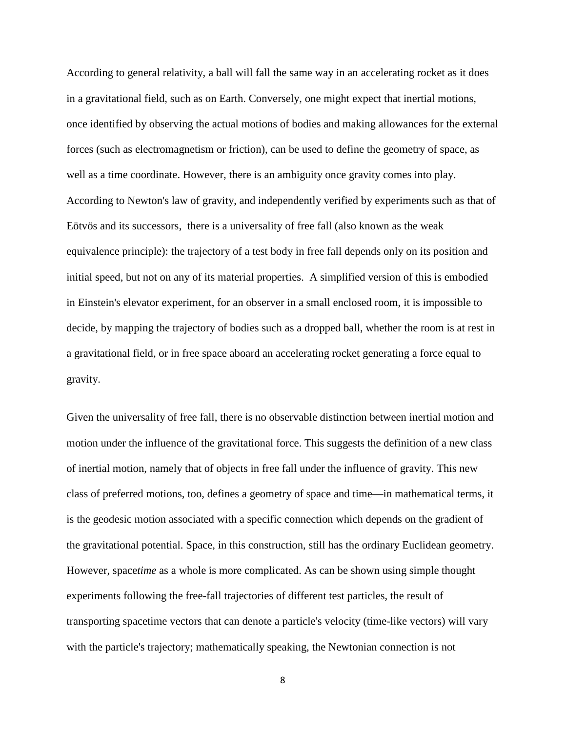According to general relativity, a ball will fall the same way in an accelerating rocket as it does in a gravitational field, such as on Earth. Conversely, one might expect that inertial motions, once identified by observing the actual motions of bodies and making allowances for the external forces (such as electromagnetism or friction), can be used to define the geometry of space, as well as a time coordinate. However, there is an ambiguity once gravity comes into play. According to Newton's law of gravity, and independently verified by experiments such as that of Eötvös and its successors, there is a universality of free fall (also known as the weak equivalence principle): the trajectory of a test body in free fall depends only on its position and initial speed, but not on any of its material properties. A simplified version of this is embodied in Einstein's elevator experiment, for an observer in a small enclosed room, it is impossible to decide, by mapping the trajectory of bodies such as a dropped ball, whether the room is at rest in a gravitational field, or in free space aboard an accelerating rocket generating a force equal to gravity.

Given the universality of free fall, there is no observable distinction between inertial motion and motion under the influence of the gravitational force. This suggests the definition of a new class of inertial motion, namely that of objects in free fall under the influence of gravity. This new class of preferred motions, too, defines a geometry of space and time—in mathematical terms, it is the geodesic motion associated with a specific connection which depends on the gradient of the gravitational potential. Space, in this construction, still has the ordinary Euclidean geometry. However, space*time* as a whole is more complicated. As can be shown using simple thought experiments following the free-fall trajectories of different test particles, the result of transporting spacetime vectors that can denote a particle's velocity (time-like vectors) will vary with the particle's trajectory; mathematically speaking, the Newtonian connection is not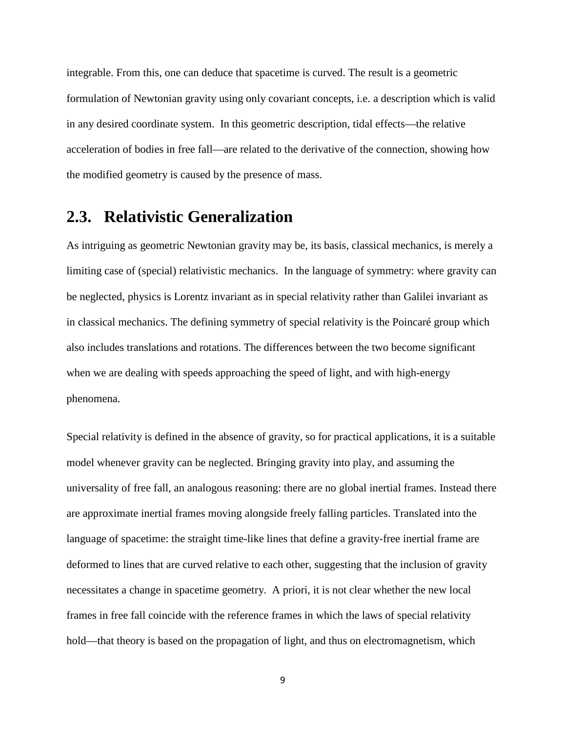integrable. From this, one can deduce that spacetime is curved. The result is a geometric formulation of Newtonian gravity using only covariant concepts, i.e. a description which is valid in any desired coordinate system. In this geometric description, tidal effects—the relative acceleration of bodies in free fall—are related to the derivative of the connection, showing how the modified geometry is caused by the presence of mass.

## **2.3. Relativistic Generalization**

As intriguing as geometric Newtonian gravity may be, its basis, classical mechanics, is merely a limiting case of (special) relativistic mechanics. In the language of symmetry: where gravity can be neglected, physics is Lorentz invariant as in special relativity rather than Galilei invariant as in classical mechanics. The defining symmetry of special relativity is the Poincaré group which also includes translations and rotations. The differences between the two become significant when we are dealing with speeds approaching the speed of light, and with high-energy phenomena.

Special relativity is defined in the absence of gravity, so for practical applications, it is a suitable model whenever gravity can be neglected. Bringing gravity into play, and assuming the universality of free fall, an analogous reasoning: there are no global inertial frames. Instead there are approximate inertial frames moving alongside freely falling particles. Translated into the language of spacetime: the straight time-like lines that define a gravity-free inertial frame are deformed to lines that are curved relative to each other, suggesting that the inclusion of gravity necessitates a change in spacetime geometry. A priori, it is not clear whether the new local frames in free fall coincide with the reference frames in which the laws of special relativity hold—that theory is based on the propagation of light, and thus on electromagnetism, which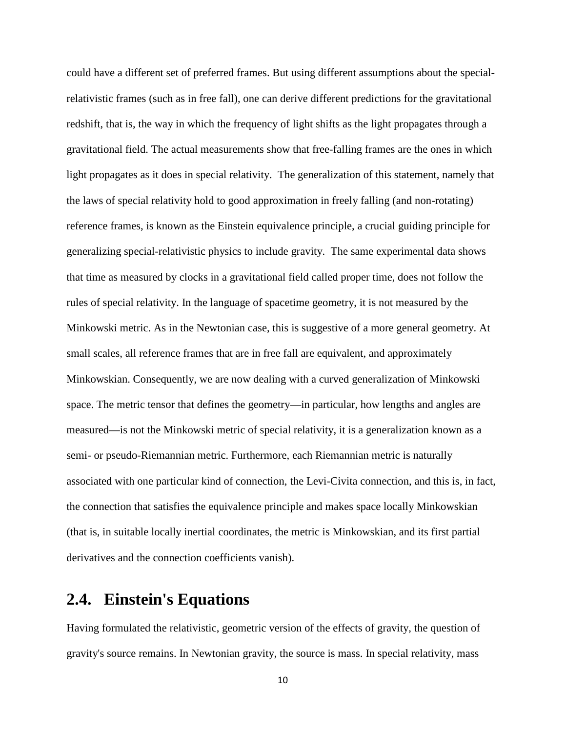could have a different set of preferred frames. But using different assumptions about the specialrelativistic frames (such as in free fall), one can derive different predictions for the gravitational redshift, that is, the way in which the frequency of light shifts as the light propagates through a gravitational field. The actual measurements show that free-falling frames are the ones in which light propagates as it does in special relativity. The generalization of this statement, namely that the laws of special relativity hold to good approximation in freely falling (and non-rotating) reference frames, is known as the Einstein equivalence principle, a crucial guiding principle for generalizing special-relativistic physics to include gravity. The same experimental data shows that time as measured by clocks in a gravitational field called proper time, does not follow the rules of special relativity. In the language of spacetime geometry, it is not measured by the Minkowski metric. As in the Newtonian case, this is suggestive of a more general geometry. At small scales, all reference frames that are in free fall are equivalent, and approximately Minkowskian. Consequently, we are now dealing with a curved generalization of Minkowski space. The metric tensor that defines the geometry—in particular, how lengths and angles are measured—is not the Minkowski metric of special relativity, it is a generalization known as a semi- or pseudo-Riemannian metric. Furthermore, each Riemannian metric is naturally associated with one particular kind of connection, the Levi-Civita connection, and this is, in fact, the connection that satisfies the equivalence principle and makes space locally Minkowskian (that is, in suitable locally inertial coordinates, the metric is Minkowskian, and its first partial derivatives and the connection coefficients vanish).

## **2.4. Einstein's Equations**

Having formulated the relativistic, geometric version of the effects of gravity, the question of gravity's source remains. In Newtonian gravity, the source is mass. In special relativity, mass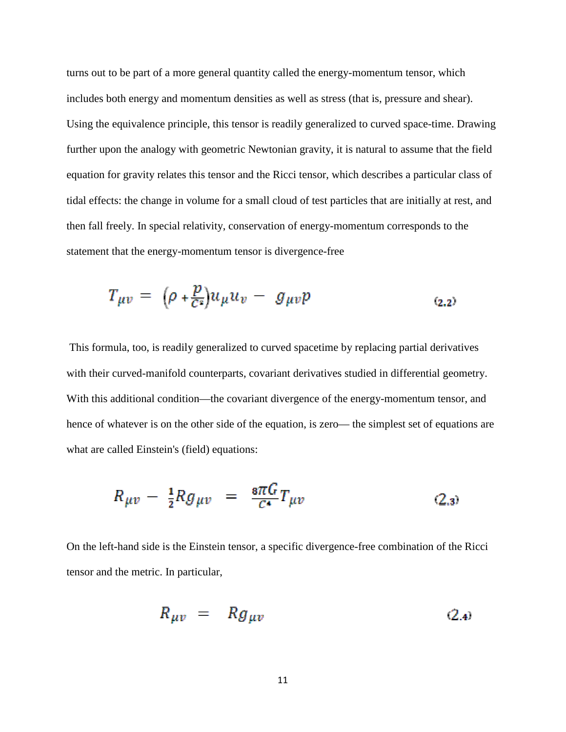turns out to be part of a more general quantity called the energy-momentum tensor, which includes both energy and momentum densities as well as stress (that is, pressure and shear). Using the equivalence principle, this tensor is readily generalized to curved space-time. Drawing further upon the analogy with geometric Newtonian gravity, it is natural to assume that the field equation for gravity relates this tensor and the Ricci tensor, which describes a particular class of tidal effects: the change in volume for a small cloud of test particles that are initially at rest, and then fall freely. In special relativity, conservation of energy-momentum corresponds to the statement that the energy-momentum tensor is divergence-free

$$
T_{\mu\nu} = \left(\rho + \frac{p}{C^2}\right)u_{\mu}u_{\nu} - g_{\mu\nu}p \tag{2.2}
$$

 This formula, too, is readily generalized to curved spacetime by replacing partial derivatives with their curved-manifold counterparts, covariant derivatives studied in differential geometry. With this additional condition—the covariant divergence of the energy-momentum tensor, and hence of whatever is on the other side of the equation, is zero— the simplest set of equations are what are called Einstein's (field) equations:

$$
R_{\mu\nu} - \frac{1}{2} R g_{\mu\nu} = \frac{8\pi G}{c^4} T_{\mu\nu} \tag{2.3}
$$

On the left-hand side is the Einstein tensor, a specific divergence-free combination of the Ricci tensor and the metric. In particular,

$$
R_{\mu\nu} = Rg_{\mu\nu} \tag{2.4}
$$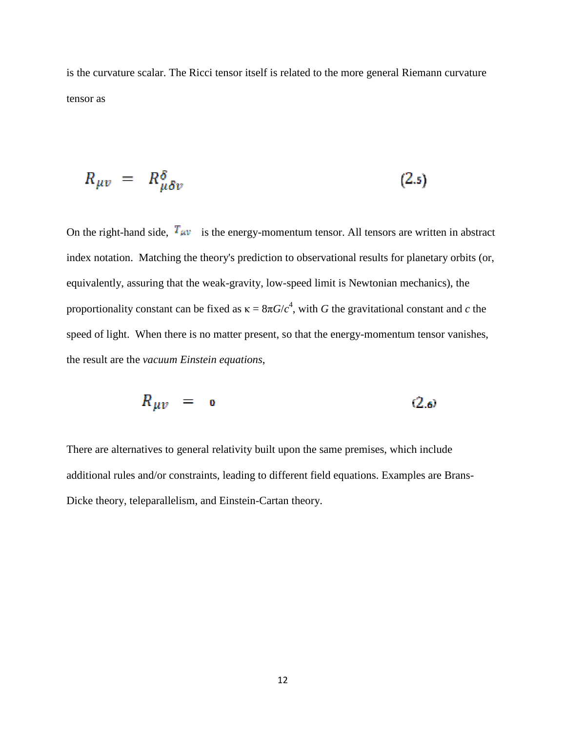is the curvature scalar. The Ricci tensor itself is related to the more general Riemann curvature tensor as

$$
R_{\mu\nu} = R^{\delta}_{\mu\delta\nu} \tag{2.5}
$$

On the right-hand side,  $T_{\mu\nu}$  is the energy-momentum tensor. All tensors are written in abstract index notation. Matching the theory's prediction to observational results for planetary orbits (or, equivalently, assuring that the weak-gravity, low-speed limit is Newtonian mechanics), the proportionality constant can be fixed as  $\kappa = 8\pi G/c^4$ , with *G* the gravitational constant and *c* the speed of light. When there is no matter present, so that the energy-momentum tensor vanishes, the result are the *vacuum Einstein equations*,

$$
R_{\mu\nu} = 0 \tag{2.6}
$$

There are alternatives to general relativity built upon the same premises, which include additional rules and/or constraints, leading to different field equations. Examples are Brans-Dicke theory, teleparallelism, and Einstein-Cartan theory.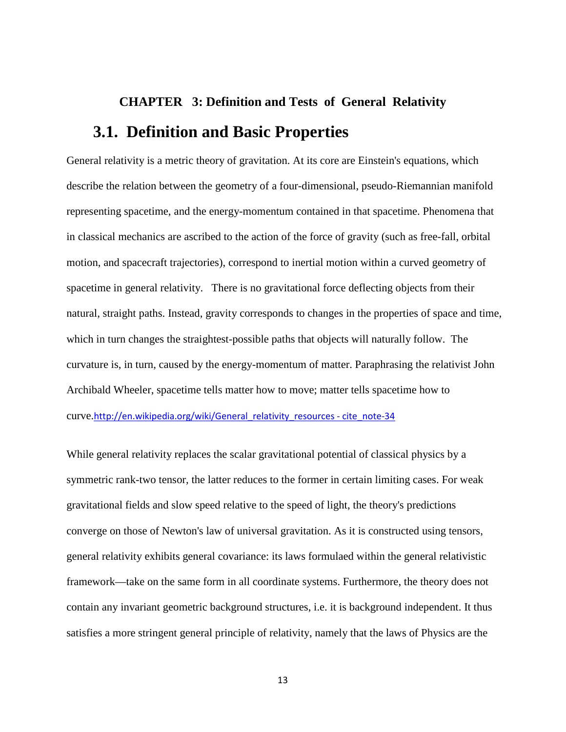# **CHAPTER 3: Definition and Tests of General Relativity 3.1. Definition and Basic Properties**

General relativity is a metric theory of gravitation. At its core are Einstein's equations, which describe the relation between the geometry of a four-dimensional, pseudo-Riemannian manifold representing spacetime, and the energy-momentum contained in that spacetime. Phenomena that in classical mechanics are ascribed to the action of the force of gravity (such as free-fall, orbital motion, and spacecraft trajectories), correspond to inertial motion within a curved geometry of spacetime in general relativity. There is no gravitational force deflecting objects from their natural, straight paths. Instead, gravity corresponds to changes in the properties of space and time, which in turn changes the straightest-possible paths that objects will naturally follow. The curvature is, in turn, caused by the energy-momentum of matter. Paraphrasing the relativist John Archibald Wheeler, spacetime tells matter how to move; matter tells spacetime how to curve.http://en.wikipedia.org/wiki/General\_relativity\_resources - cite\_note-34

While general relativity replaces the scalar gravitational potential of classical physics by a symmetric rank-two tensor, the latter reduces to the former in certain limiting cases. For weak gravitational fields and slow speed relative to the speed of light, the theory's predictions converge on those of Newton's law of universal gravitation. As it is constructed using tensors, general relativity exhibits general covariance: its laws formulaed within the general relativistic framework—take on the same form in all coordinate systems. Furthermore, the theory does not contain any invariant geometric background structures, i.e. it is background independent. It thus satisfies a more stringent general principle of relativity, namely that the laws of Physics are the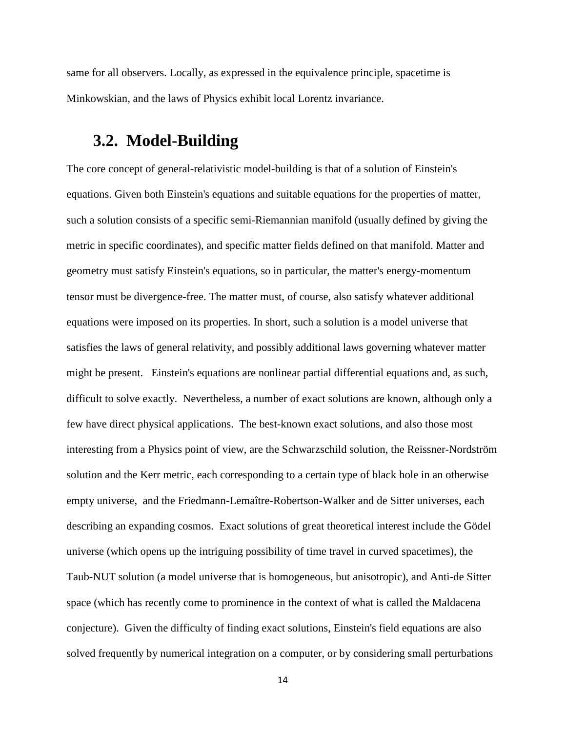same for all observers. Locally, as expressed in the equivalence principle, spacetime is Minkowskian, and the laws of Physics exhibit local Lorentz invariance.

### **3.2. Model-Building**

The core concept of general-relativistic model-building is that of a solution of Einstein's equations. Given both Einstein's equations and suitable equations for the properties of matter, such a solution consists of a specific semi-Riemannian manifold (usually defined by giving the metric in specific coordinates), and specific matter fields defined on that manifold. Matter and geometry must satisfy Einstein's equations, so in particular, the matter's energy-momentum tensor must be divergence-free. The matter must, of course, also satisfy whatever additional equations were imposed on its properties. In short, such a solution is a model universe that satisfies the laws of general relativity, and possibly additional laws governing whatever matter might be present. Einstein's equations are nonlinear partial differential equations and, as such, difficult to solve exactly. Nevertheless, a number of exact solutions are known, although only a few have direct physical applications. The best-known exact solutions, and also those most interesting from a Physics point of view, are the Schwarzschild solution, the Reissner-Nordström solution and the Kerr metric, each corresponding to a certain type of black hole in an otherwise empty universe, and the Friedmann-Lemaître-Robertson-Walker and de Sitter universes, each describing an expanding cosmos. Exact solutions of great theoretical interest include the Gödel universe (which opens up the intriguing possibility of time travel in curved spacetimes), the Taub-NUT solution (a model universe that is homogeneous, but anisotropic), and Anti-de Sitter space (which has recently come to prominence in the context of what is called the Maldacena conjecture). Given the difficulty of finding exact solutions, Einstein's field equations are also solved frequently by numerical integration on a computer, or by considering small perturbations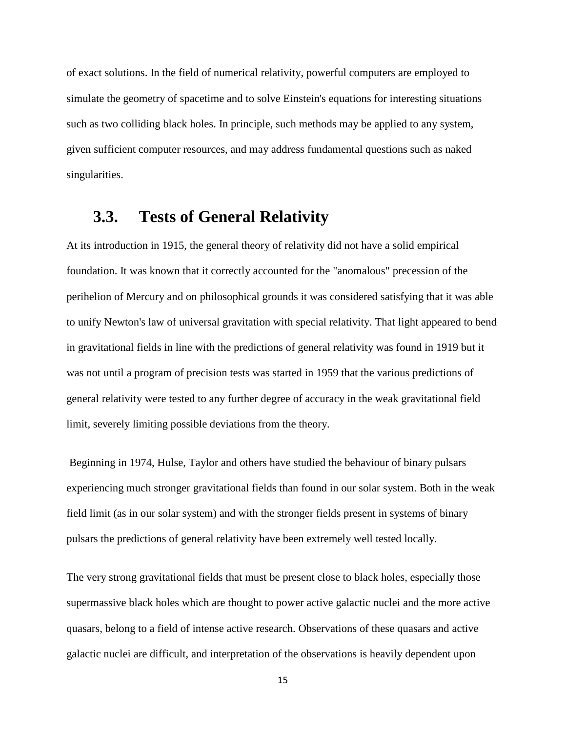of exact solutions. In the field of numerical relativity, powerful computers are employed to simulate the geometry of spacetime and to solve Einstein's equations for interesting situations such as two colliding black holes. In principle, such methods may be applied to any system, given sufficient computer resources, and may address fundamental questions such as naked singularities.

# **3.3. Tests of General Relativity**

At its introduction in 1915, the general theory of relativity did not have a solid empirical foundation. It was known that it correctly accounted for the "anomalous" precession of the perihelion of Mercury and on philosophical grounds it was considered satisfying that it was able to unify Newton's law of universal gravitation with special relativity. That light appeared to bend in gravitational fields in line with the predictions of general relativity was found in 1919 but it was not until a program of precision tests was started in 1959 that the various predictions of general relativity were tested to any further degree of accuracy in the weak gravitational field limit, severely limiting possible deviations from the theory.

 Beginning in 1974, Hulse, Taylor and others have studied the behaviour of binary pulsars experiencing much stronger gravitational fields than found in our solar system. Both in the weak field limit (as in our solar system) and with the stronger fields present in systems of binary pulsars the predictions of general relativity have been extremely well tested locally.

The very strong gravitational fields that must be present close to black holes, especially those supermassive black holes which are thought to power active galactic nuclei and the more active quasars, belong to a field of intense active research. Observations of these quasars and active galactic nuclei are difficult, and interpretation of the observations is heavily dependent upon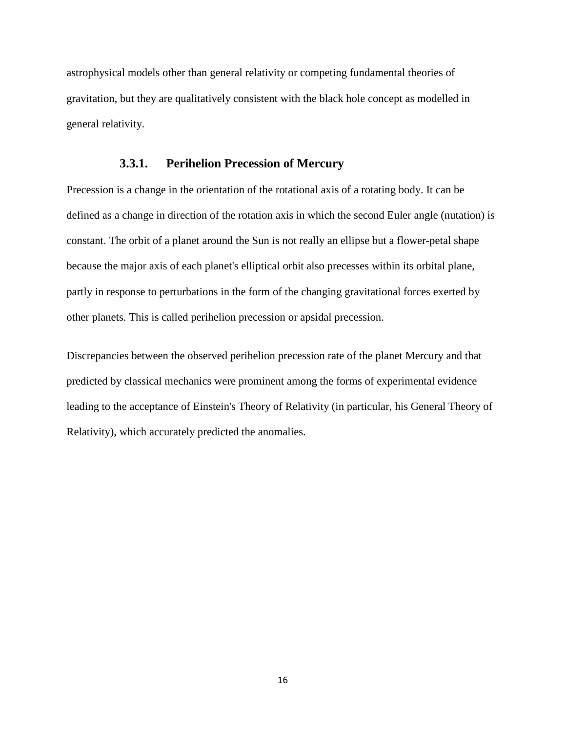astrophysical models other than general relativity or competing fundamental theories of gravitation, but they are qualitatively consistent with the black hole concept as modelled in general relativity.

#### **3.3.1. Perihelion Precession of Mercury**

Precession is a change in the orientation of the rotational axis of a rotating body. It can be defined as a change in direction of the rotation axis in which the second Euler angle (nutation) is constant. The orbit of a planet around the Sun is not really an ellipse but a flower-petal shape because the major axis of each planet's elliptical orbit also precesses within its orbital plane, partly in response to perturbations in the form of the changing gravitational forces exerted by other planets. This is called perihelion precession or apsidal precession.

Discrepancies between the observed perihelion precession rate of the planet Mercury and that predicted by classical mechanics were prominent among the forms of experimental evidence leading to the acceptance of Einstein's Theory of Relativity (in particular, his General Theory of Relativity), which accurately predicted the anomalies.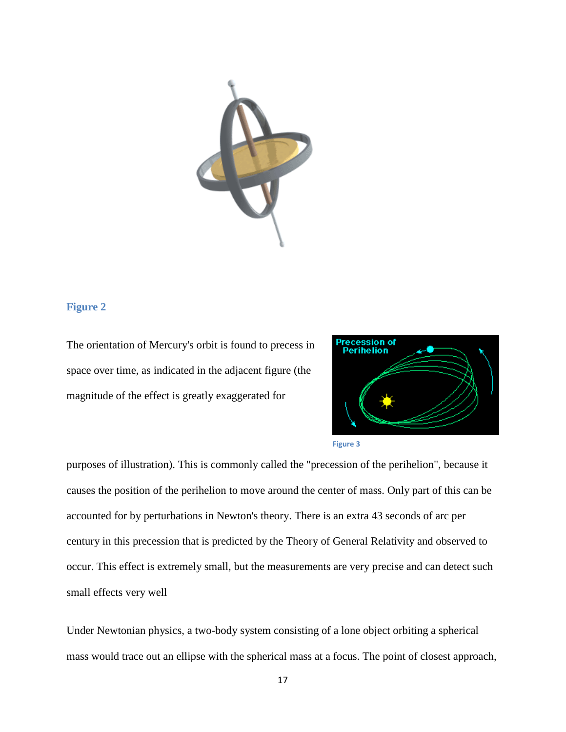

#### **Figure 2**

The orientation of Mercury's orbit is found to precess in space over time, as indicated in the adjacent figure (the magnitude of the effect is greatly exaggerated for





purposes of illustration). This is commonly called the "precession of the perihelion", because it causes the position of the perihelion to move around the center of mass. Only part of this can be accounted for by perturbations in Newton's theory. There is an extra 43 seconds of arc per century in this precession that is predicted by the Theory of General Relativity and observed to occur. This effect is extremely small, but the measurements are very precise and can detect such small effects very well

Under Newtonian physics, a two-body system consisting of a lone object orbiting a spherical mass would trace out an ellipse with the spherical mass at a focus. The point of closest approach,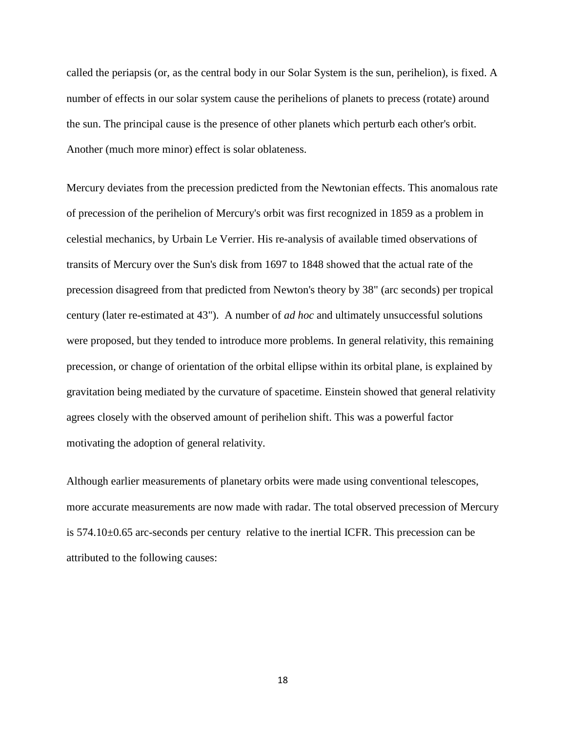called the periapsis (or, as the central body in our Solar System is the sun, perihelion), is fixed. A number of effects in our solar system cause the perihelions of planets to precess (rotate) around the sun. The principal cause is the presence of other planets which perturb each other's orbit. Another (much more minor) effect is solar oblateness.

Mercury deviates from the precession predicted from the Newtonian effects. This anomalous rate of precession of the perihelion of Mercury's orbit was first recognized in 1859 as a problem in celestial mechanics, by Urbain Le Verrier. His re-analysis of available timed observations of transits of Mercury over the Sun's disk from 1697 to 1848 showed that the actual rate of the precession disagreed from that predicted from Newton's theory by 38" (arc seconds) per tropical century (later re-estimated at 43"). A number of *ad hoc* and ultimately unsuccessful solutions were proposed, but they tended to introduce more problems. In general relativity, this remaining precession, or change of orientation of the orbital ellipse within its orbital plane, is explained by gravitation being mediated by the curvature of spacetime. Einstein showed that general relativity agrees closely with the observed amount of perihelion shift. This was a powerful factor motivating the adoption of general relativity.

Although earlier measurements of planetary orbits were made using conventional telescopes, more accurate measurements are now made with radar. The total observed precession of Mercury is  $574.10\pm0.65$  arc-seconds per century relative to the inertial ICFR. This precession can be attributed to the following causes: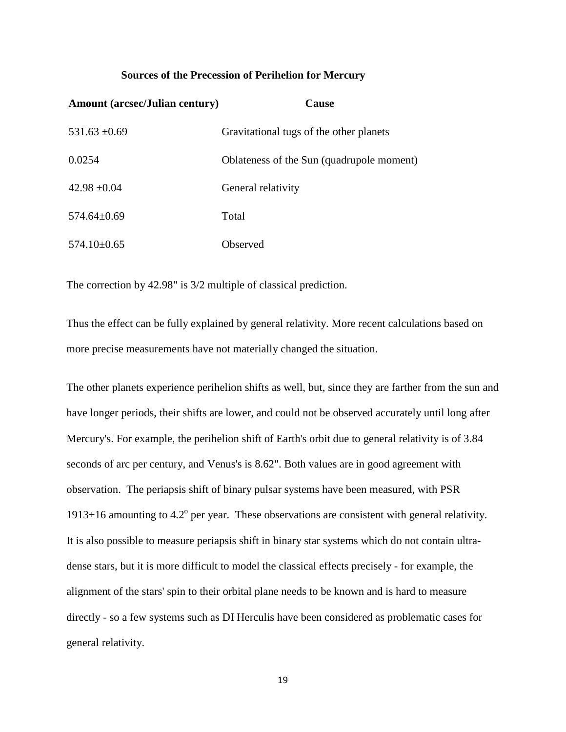#### **Sources of the Precession of Perihelion for Mercury**

| <b>Amount (arcsec/Julian century)</b> | <b>Cause</b>                              |
|---------------------------------------|-------------------------------------------|
| $531.63 \pm 0.69$                     | Gravitational tugs of the other planets   |
| 0.0254                                | Oblateness of the Sun (quadrupole moment) |
| $42.98 \pm 0.04$                      | General relativity                        |
| $574.64 \pm 0.69$                     | Total                                     |
| $574.10\pm0.65$                       | Observed                                  |

The correction by 42.98" is 3/2 multiple of classical prediction.

Thus the effect can be fully explained by general relativity. More recent calculations based on more precise measurements have not materially changed the situation.

The other planets experience perihelion shifts as well, but, since they are farther from the sun and have longer periods, their shifts are lower, and could not be observed accurately until long after Mercury's. For example, the perihelion shift of Earth's orbit due to general relativity is of 3.84 seconds of arc per century, and Venus's is 8.62". Both values are in good agreement with observation. The periapsis shift of binary pulsar systems have been measured, with PSR  $1913+16$  amounting to  $4.2^{\circ}$  per year. These observations are consistent with general relativity. It is also possible to measure periapsis shift in binary star systems which do not contain ultradense stars, but it is more difficult to model the classical effects precisely - for example, the alignment of the stars' spin to their orbital plane needs to be known and is hard to measure directly - so a few systems such as DI Herculis have been considered as problematic cases for general relativity.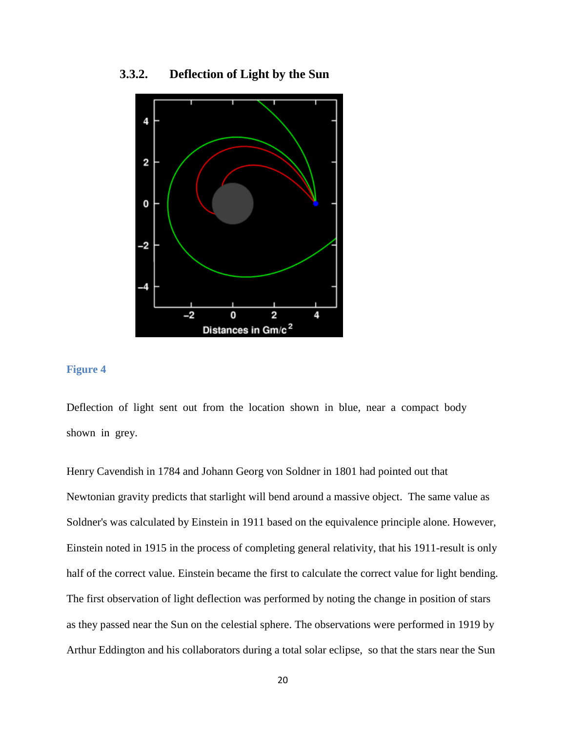**3.3.2. Deflection of Light by the Sun** 



#### **Figure 4**

Deflection of light sent out from the location shown in blue, near a compact body shown in grey.

Henry Cavendish in 1784 and Johann Georg von Soldner in 1801 had pointed out that Newtonian gravity predicts that starlight will bend around a massive object. The same value as Soldner's was calculated by Einstein in 1911 based on the equivalence principle alone. However, Einstein noted in 1915 in the process of completing general relativity, that his 1911-result is only half of the correct value. Einstein became the first to calculate the correct value for light bending. The first observation of light deflection was performed by noting the change in position of stars as they passed near the Sun on the celestial sphere. The observations were performed in 1919 by Arthur Eddington and his collaborators during a total solar eclipse, so that the stars near the Sun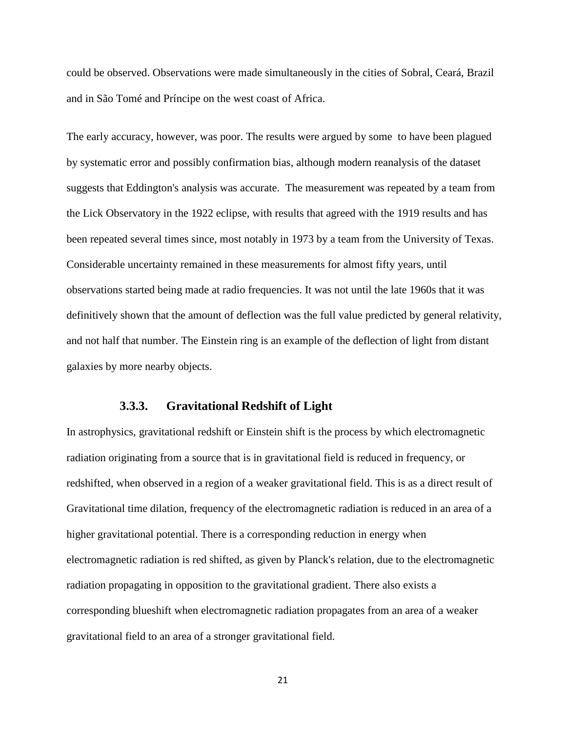could be observed. Observations were made simultaneously in the cities of Sobral, Ceará, Brazil and in São Tomé and Príncipe on the west coast of Africa.

The early accuracy, however, was poor. The results were argued by some to have been plagued by systematic error and possibly confirmation bias, although modern reanalysis of the dataset suggests that Eddington's analysis was accurate. The measurement was repeated by a team from the Lick Observatory in the 1922 eclipse, with results that agreed with the 1919 results and has been repeated several times since, most notably in 1973 by a team from the University of Texas. Considerable uncertainty remained in these measurements for almost fifty years, until observations started being made at radio frequencies. It was not until the late 1960s that it was definitively shown that the amount of deflection was the full value predicted by general relativity, and not half that number. The Einstein ring is an example of the deflection of light from distant galaxies by more nearby objects.

#### **3.3.3. Gravitational Redshift of Light**

In astrophysics, gravitational redshift or Einstein shift is the process by which electromagnetic radiation originating from a source that is in gravitational field is reduced in frequency, or redshifted, when observed in a region of a weaker gravitational field. This is as a direct result of Gravitational time dilation, frequency of the electromagnetic radiation is reduced in an area of a higher gravitational potential. There is a corresponding reduction in energy when electromagnetic radiation is red shifted, as given by Planck's relation, due to the electromagnetic radiation propagating in opposition to the gravitational gradient. There also exists a corresponding blueshift when electromagnetic radiation propagates from an area of a weaker gravitational field to an area of a stronger gravitational field.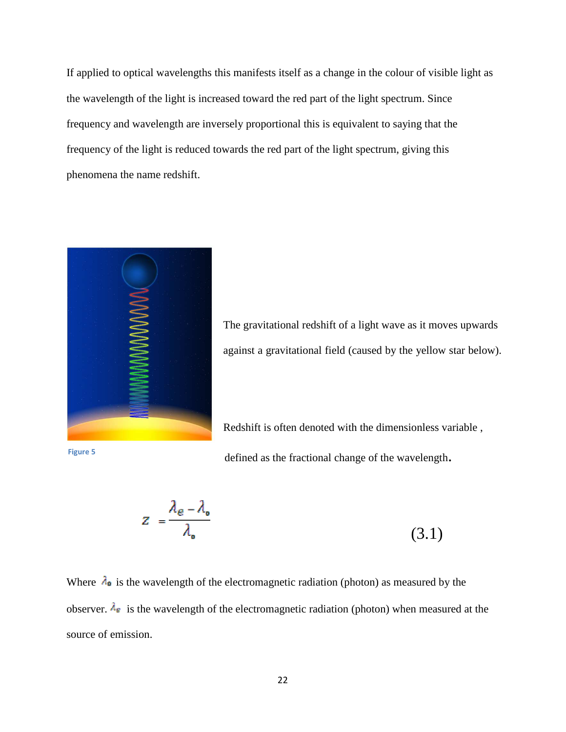If applied to optical wavelengths this manifests itself as a change in the colour of visible light as the wavelength of the light is increased toward the red part of the light spectrum. Since frequency and wavelength are inversely proportional this is equivalent to saying that the frequency of the light is reduced towards the red part of the light spectrum, giving this phenomena the name redshift.



The gravitational redshift of a light wave as it moves upwards against a gravitational field (caused by the yellow star below).

Redshift is often denoted with the dimensionless variable , defined as the fractional change of the wavelength.

Figure 5

$$
Z = \frac{\lambda_e - \lambda_o}{\lambda_o} \tag{3.1}
$$

Where  $\lambda_0$  is the wavelength of the electromagnetic radiation (photon) as measured by the observer.  $\lambda_{\epsilon}$  is the wavelength of the electromagnetic radiation (photon) when measured at the source of emission.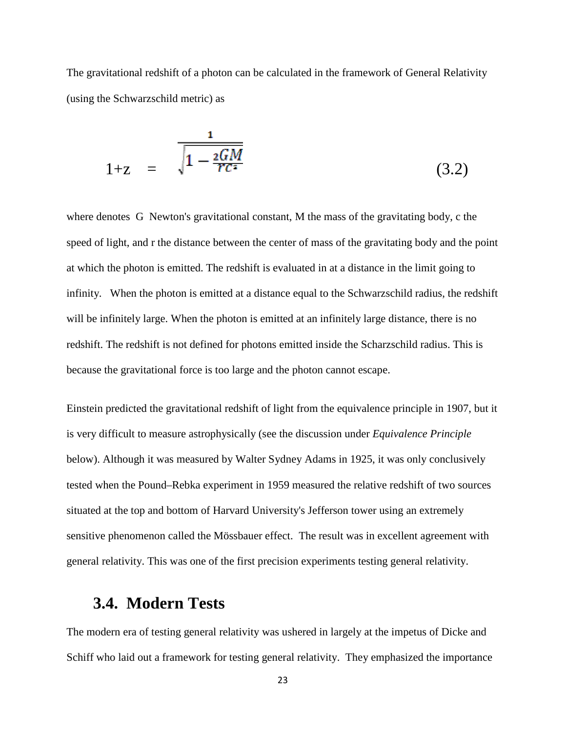The gravitational redshift of a photon can be calculated in the framework of General Relativity (using the Schwarzschild metric) as

$$
1+z = \sqrt{\frac{1 - \frac{2GM}{rc^2}}}
$$
 (3.2)

where denotes G Newton's gravitational constant, M the mass of the gravitating body, c the speed of light, and r the distance between the center of mass of the gravitating body and the point at which the photon is emitted. The redshift is evaluated in at a distance in the limit going to infinity. When the photon is emitted at a distance equal to the Schwarzschild radius, the redshift will be infinitely large. When the photon is emitted at an infinitely large distance, there is no redshift. The redshift is not defined for photons emitted inside the Scharzschild radius. This is because the gravitational force is too large and the photon cannot escape.

Einstein predicted the gravitational redshift of light from the equivalence principle in 1907, but it is very difficult to measure astrophysically (see the discussion under *Equivalence Principle* below). Although it was measured by Walter Sydney Adams in 1925, it was only conclusively tested when the Pound–Rebka experiment in 1959 measured the relative redshift of two sources situated at the top and bottom of Harvard University's Jefferson tower using an extremely sensitive phenomenon called the Mössbauer effect. The result was in excellent agreement with general relativity. This was one of the first precision experiments testing general relativity.

### **3.4. Modern Tests**

The modern era of testing general relativity was ushered in largely at the impetus of Dicke and Schiff who laid out a framework for testing general relativity. They emphasized the importance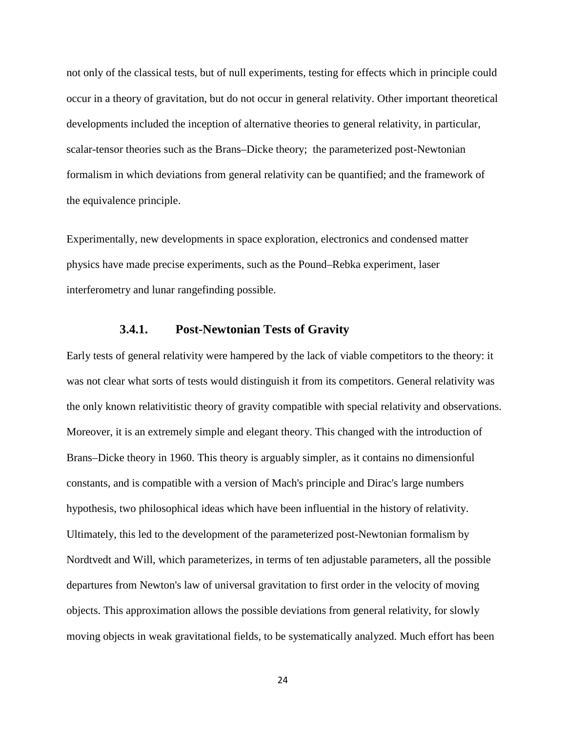not only of the classical tests, but of null experiments, testing for effects which in principle could occur in a theory of gravitation, but do not occur in general relativity. Other important theoretical developments included the inception of alternative theories to general relativity, in particular, scalar-tensor theories such as the Brans–Dicke theory; the parameterized post-Newtonian formalism in which deviations from general relativity can be quantified; and the framework of the equivalence principle.

Experimentally, new developments in space exploration, electronics and condensed matter physics have made precise experiments, such as the Pound–Rebka experiment, laser interferometry and lunar rangefinding possible.

#### **3.4.1. Post-Newtonian Tests of Gravity**

Early tests of general relativity were hampered by the lack of viable competitors to the theory: it was not clear what sorts of tests would distinguish it from its competitors. General relativity was the only known relativitistic theory of gravity compatible with special relativity and observations. Moreover, it is an extremely simple and elegant theory. This changed with the introduction of Brans–Dicke theory in 1960. This theory is arguably simpler, as it contains no dimensionful constants, and is compatible with a version of Mach's principle and Dirac's large numbers hypothesis, two philosophical ideas which have been influential in the history of relativity. Ultimately, this led to the development of the parameterized post-Newtonian formalism by Nordtvedt and Will, which parameterizes, in terms of ten adjustable parameters, all the possible departures from Newton's law of universal gravitation to first order in the velocity of moving objects. This approximation allows the possible deviations from general relativity, for slowly moving objects in weak gravitational fields, to be systematically analyzed. Much effort has been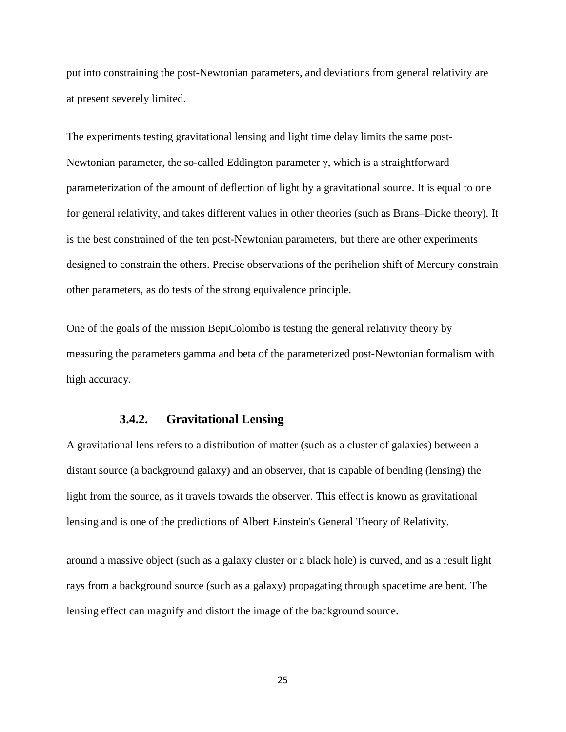put into constraining the post-Newtonian parameters, and deviations from general relativity are at present severely limited.

The experiments testing gravitational lensing and light time delay limits the same post-Newtonian parameter, the so-called Eddington parameter  $\gamma$ , which is a straightforward parameterization of the amount of deflection of light by a gravitational source. It is equal to one for general relativity, and takes different values in other theories (such as Brans–Dicke theory). It is the best constrained of the ten post-Newtonian parameters, but there are other experiments designed to constrain the others. Precise observations of the perihelion shift of Mercury constrain other parameters, as do tests of the strong equivalence principle.

One of the goals of the mission BepiColombo is testing the general relativity theory by measuring the parameters gamma and beta of the parameterized post-Newtonian formalism with high accuracy.

### **3.4.2. Gravitational Lensing**

A gravitational lens refers to a distribution of matter (such as a cluster of galaxies) between a distant source (a background galaxy) and an observer, that is capable of bending (lensing) the light from the source, as it travels towards the observer. This effect is known as gravitational lensing and is one of the predictions of Albert Einstein's General Theory of Relativity.

around a massive object (such as a galaxy cluster or a black hole) is curved, and as a result light rays from a background source (such as a galaxy) propagating through spacetime are bent. The lensing effect can magnify and distort the image of the background source.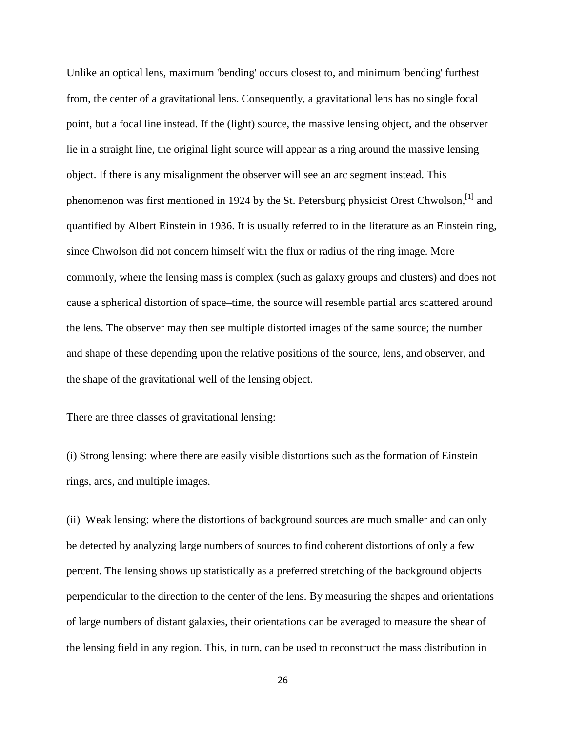Unlike an optical lens, maximum 'bending' occurs closest to, and minimum 'bending' furthest from, the center of a gravitational lens. Consequently, a gravitational lens has no single focal point, but a focal line instead. If the (light) source, the massive lensing object, and the observer lie in a straight line, the original light source will appear as a ring around the massive lensing object. If there is any misalignment the observer will see an arc segment instead. This phenomenon was first mentioned in 1924 by the St. Petersburg physicist Orest Chwolson,<sup>[1]</sup> and quantified by Albert Einstein in 1936. It is usually referred to in the literature as an Einstein ring, since Chwolson did not concern himself with the flux or radius of the ring image. More commonly, where the lensing mass is complex (such as galaxy groups and clusters) and does not cause a spherical distortion of space–time, the source will resemble partial arcs scattered around the lens. The observer may then see multiple distorted images of the same source; the number and shape of these depending upon the relative positions of the source, lens, and observer, and the shape of the gravitational well of the lensing object.

There are three classes of gravitational lensing:

(i) Strong lensing: where there are easily visible distortions such as the formation of Einstein rings, arcs, and multiple images.

(ii) Weak lensing: where the distortions of background sources are much smaller and can only be detected by analyzing large numbers of sources to find coherent distortions of only a few percent. The lensing shows up statistically as a preferred stretching of the background objects perpendicular to the direction to the center of the lens. By measuring the shapes and orientations of large numbers of distant galaxies, their orientations can be averaged to measure the shear of the lensing field in any region. This, in turn, can be used to reconstruct the mass distribution in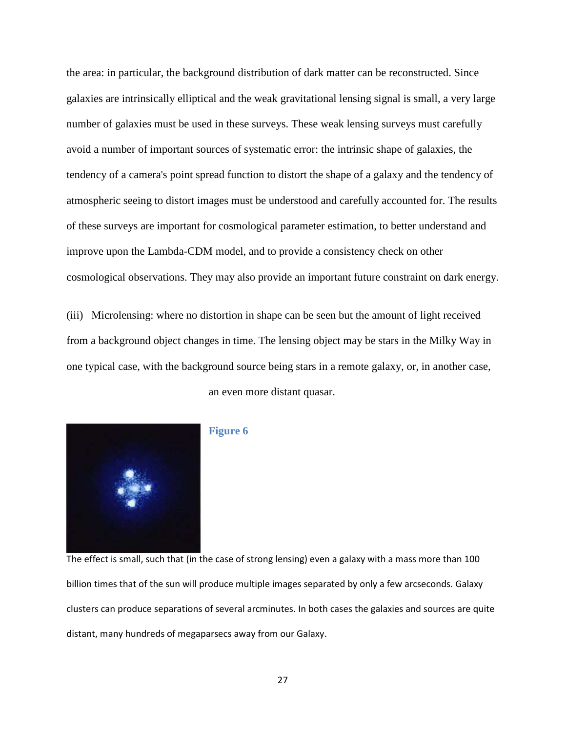the area: in particular, the background distribution of dark matter can be reconstructed. Since galaxies are intrinsically elliptical and the weak gravitational lensing signal is small, a very large number of galaxies must be used in these surveys. These weak lensing surveys must carefully avoid a number of important sources of systematic error: the intrinsic shape of galaxies, the tendency of a camera's point spread function to distort the shape of a galaxy and the tendency of atmospheric seeing to distort images must be understood and carefully accounted for. The results of these surveys are important for cosmological parameter estimation, to better understand and improve upon the Lambda-CDM model, and to provide a consistency check on other cosmological observations. They may also provide an important future constraint on dark energy.

(iii) Microlensing: where no distortion in shape can be seen but the amount of light received from a background object changes in time. The lensing object may be stars in the Milky Way in one typical case, with the background source being stars in a remote galaxy, or, in another case,





#### **Figure 6**

The effect is small, such that (in the case of strong lensing) even a galaxy with a mass more than 100 billion times that of the sun will produce multiple images separated by only a few arcseconds. Galaxy clusters can produce separations of several arcminutes. In both cases the galaxies and sources are quite distant, many hundreds of megaparsecs away from our Galaxy.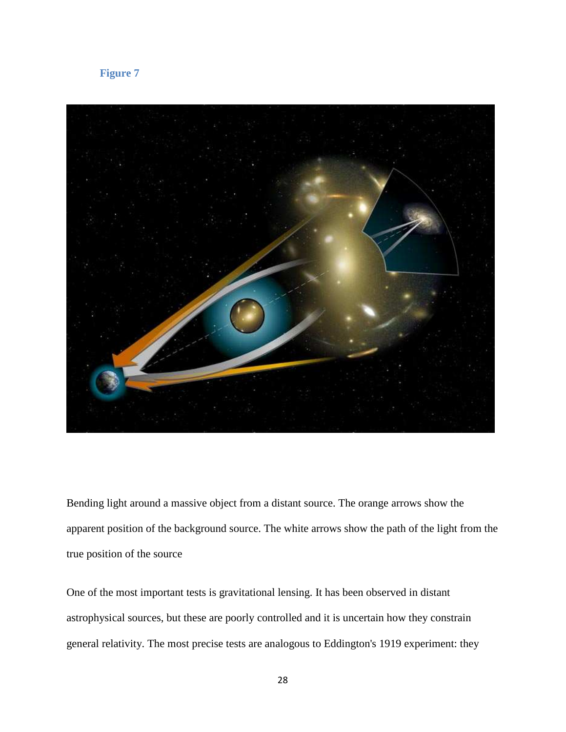### **Figure 7**



Bending light around a massive object from a distant source. The orange arrows show the apparent position of the background source. The white arrows show the path of the light from the true position of the source

One of the most important tests is gravitational lensing. It has been observed in distant astrophysical sources, but these are poorly controlled and it is uncertain how they constrain general relativity. The most precise tests are analogous to Eddington's 1919 experiment: they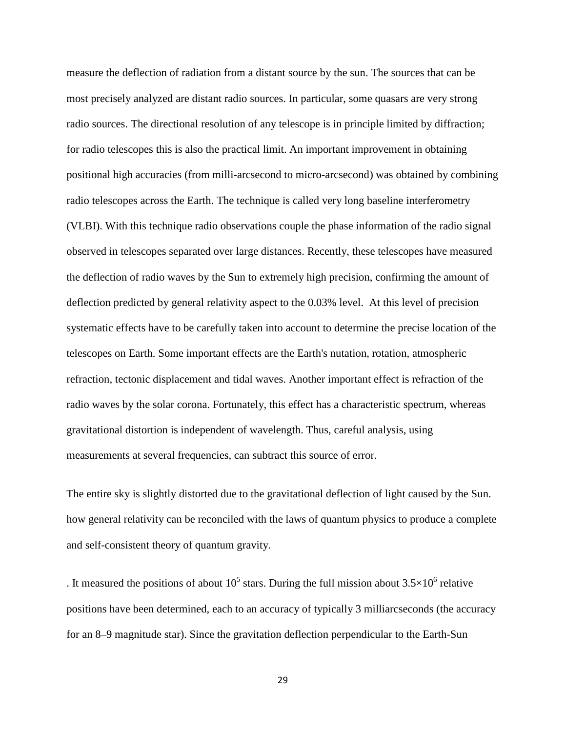measure the deflection of radiation from a distant source by the sun. The sources that can be most precisely analyzed are distant radio sources. In particular, some quasars are very strong radio sources. The directional resolution of any telescope is in principle limited by diffraction; for radio telescopes this is also the practical limit. An important improvement in obtaining positional high accuracies (from milli-arcsecond to micro-arcsecond) was obtained by combining radio telescopes across the Earth. The technique is called very long baseline interferometry (VLBI). With this technique radio observations couple the phase information of the radio signal observed in telescopes separated over large distances. Recently, these telescopes have measured the deflection of radio waves by the Sun to extremely high precision, confirming the amount of deflection predicted by general relativity aspect to the 0.03% level. At this level of precision systematic effects have to be carefully taken into account to determine the precise location of the telescopes on Earth. Some important effects are the Earth's nutation, rotation, atmospheric refraction, tectonic displacement and tidal waves. Another important effect is refraction of the radio waves by the solar corona. Fortunately, this effect has a characteristic spectrum, whereas gravitational distortion is independent of wavelength. Thus, careful analysis, using measurements at several frequencies, can subtract this source of error.

The entire sky is slightly distorted due to the gravitational deflection of light caused by the Sun. how general relativity can be reconciled with the laws of quantum physics to produce a complete and self-consistent theory of quantum gravity.

. It measured the positions of about 10<sup>5</sup> stars. During the full mission about  $3.5 \times 10^6$  relative positions have been determined, each to an accuracy of typically 3 milliarcseconds (the accuracy for an 8–9 magnitude star). Since the gravitation deflection perpendicular to the Earth-Sun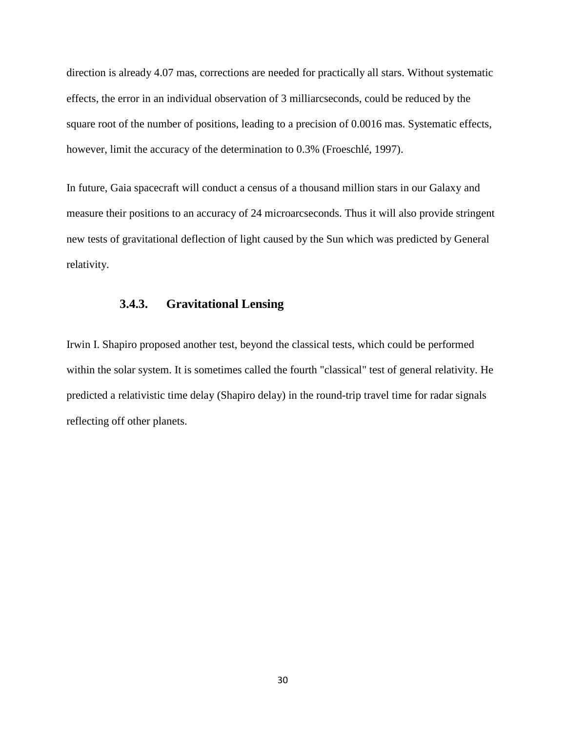direction is already 4.07 mas, corrections are needed for practically all stars. Without systematic effects, the error in an individual observation of 3 milliarcseconds, could be reduced by the square root of the number of positions, leading to a precision of 0.0016 mas. Systematic effects, however, limit the accuracy of the determination to 0.3% (Froeschlé, 1997).

In future, Gaia spacecraft will conduct a census of a thousand million stars in our Galaxy and measure their positions to an accuracy of 24 microarcseconds. Thus it will also provide stringent new tests of gravitational deflection of light caused by the Sun which was predicted by General relativity.

#### **3.4.3. Gravitational Lensing**

Irwin I. Shapiro proposed another test, beyond the classical tests, which could be performed within the solar system. It is sometimes called the fourth "classical" test of general relativity. He predicted a relativistic time delay (Shapiro delay) in the round-trip travel time for radar signals reflecting off other planets.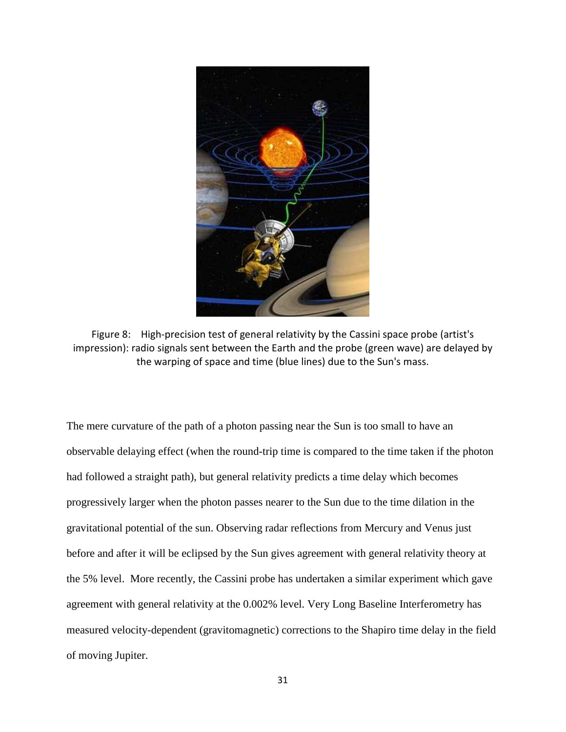

Figure 8: High-precision test of general relativity by the Cassini space probe (artist's impression): radio signals sent between the Earth and the probe (green wave) are delayed by the warping of space and time (blue lines) due to the Sun's mass.

The mere curvature of the path of a photon passing near the Sun is too small to have an observable delaying effect (when the round-trip time is compared to the time taken if the photon had followed a straight path), but general relativity predicts a time delay which becomes progressively larger when the photon passes nearer to the Sun due to the time dilation in the gravitational potential of the sun. Observing radar reflections from Mercury and Venus just before and after it will be eclipsed by the Sun gives agreement with general relativity theory at the 5% level. More recently, the Cassini probe has undertaken a similar experiment which gave agreement with general relativity at the 0.002% level. Very Long Baseline Interferometry has measured velocity-dependent (gravitomagnetic) corrections to the Shapiro time delay in the field of moving Jupiter.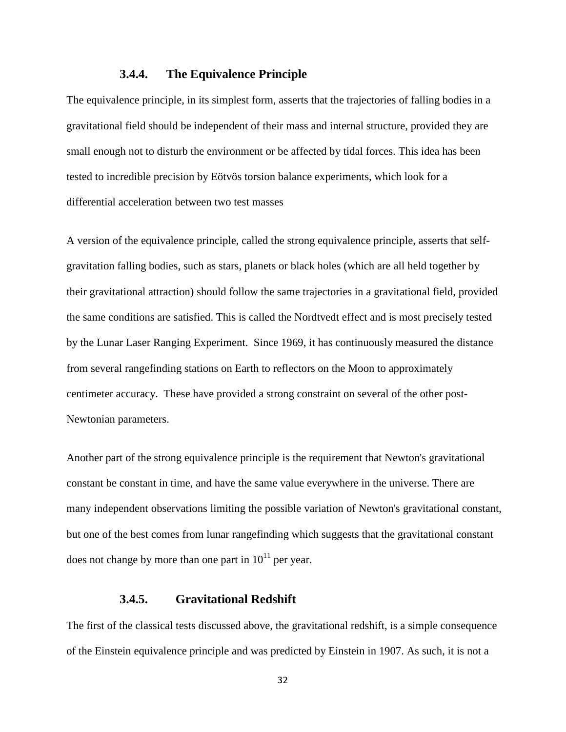#### **3.4.4. The Equivalence Principle**

The equivalence principle, in its simplest form, asserts that the trajectories of falling bodies in a gravitational field should be independent of their mass and internal structure, provided they are small enough not to disturb the environment or be affected by tidal forces. This idea has been tested to incredible precision by Eötvös torsion balance experiments, which look for a differential acceleration between two test masses

A version of the equivalence principle, called the strong equivalence principle, asserts that selfgravitation falling bodies, such as stars, planets or black holes (which are all held together by their gravitational attraction) should follow the same trajectories in a gravitational field, provided the same conditions are satisfied. This is called the Nordtvedt effect and is most precisely tested by the Lunar Laser Ranging Experiment. Since 1969, it has continuously measured the distance from several rangefinding stations on Earth to reflectors on the Moon to approximately centimeter accuracy. These have provided a strong constraint on several of the other post-Newtonian parameters.

Another part of the strong equivalence principle is the requirement that Newton's gravitational constant be constant in time, and have the same value everywhere in the universe. There are many independent observations limiting the possible variation of Newton's gravitational constant, but one of the best comes from lunar rangefinding which suggests that the gravitational constant does not change by more than one part in  $10^{11}$  per year.

#### **3.4.5. Gravitational Redshift**

The first of the classical tests discussed above, the gravitational redshift, is a simple consequence of the Einstein equivalence principle and was predicted by Einstein in 1907. As such, it is not a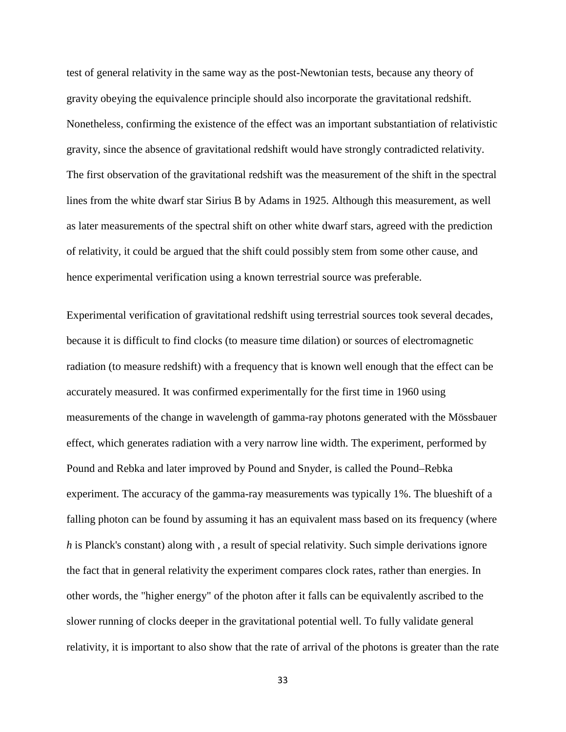test of general relativity in the same way as the post-Newtonian tests, because any theory of gravity obeying the equivalence principle should also incorporate the gravitational redshift. Nonetheless, confirming the existence of the effect was an important substantiation of relativistic gravity, since the absence of gravitational redshift would have strongly contradicted relativity. The first observation of the gravitational redshift was the measurement of the shift in the spectral lines from the white dwarf star Sirius B by Adams in 1925. Although this measurement, as well as later measurements of the spectral shift on other white dwarf stars, agreed with the prediction of relativity, it could be argued that the shift could possibly stem from some other cause, and hence experimental verification using a known terrestrial source was preferable.

Experimental verification of gravitational redshift using terrestrial sources took several decades, because it is difficult to find clocks (to measure time dilation) or sources of electromagnetic radiation (to measure redshift) with a frequency that is known well enough that the effect can be accurately measured. It was confirmed experimentally for the first time in 1960 using measurements of the change in wavelength of gamma-ray photons generated with the Mössbauer effect, which generates radiation with a very narrow line width. The experiment, performed by Pound and Rebka and later improved by Pound and Snyder, is called the Pound–Rebka experiment. The accuracy of the gamma-ray measurements was typically 1%. The blueshift of a falling photon can be found by assuming it has an equivalent mass based on its frequency (where *h* is Planck's constant) along with , a result of special relativity. Such simple derivations ignore the fact that in general relativity the experiment compares clock rates, rather than energies. In other words, the "higher energy" of the photon after it falls can be equivalently ascribed to the slower running of clocks deeper in the gravitational potential well. To fully validate general relativity, it is important to also show that the rate of arrival of the photons is greater than the rate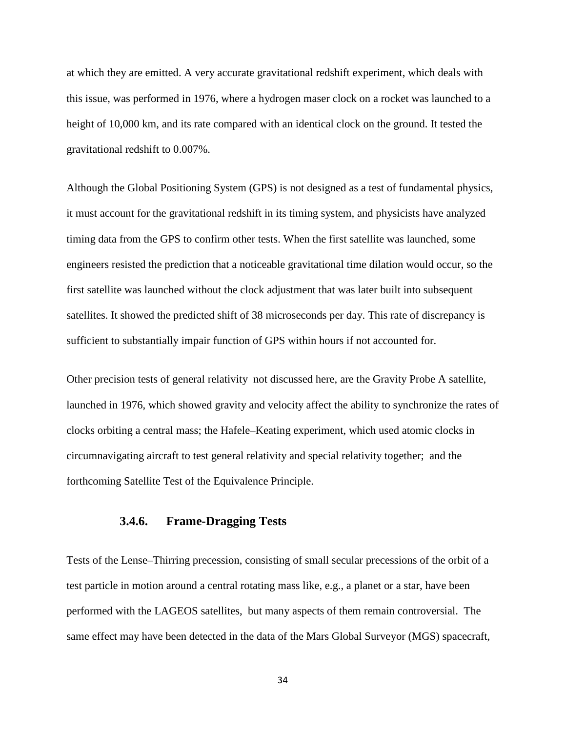at which they are emitted. A very accurate gravitational redshift experiment, which deals with this issue, was performed in 1976, where a hydrogen maser clock on a rocket was launched to a height of 10,000 km, and its rate compared with an identical clock on the ground. It tested the gravitational redshift to 0.007%.

Although the Global Positioning System (GPS) is not designed as a test of fundamental physics, it must account for the gravitational redshift in its timing system, and physicists have analyzed timing data from the GPS to confirm other tests. When the first satellite was launched, some engineers resisted the prediction that a noticeable gravitational time dilation would occur, so the first satellite was launched without the clock adjustment that was later built into subsequent satellites. It showed the predicted shift of 38 microseconds per day. This rate of discrepancy is sufficient to substantially impair function of GPS within hours if not accounted for.

Other precision tests of general relativity not discussed here, are the Gravity Probe A satellite, launched in 1976, which showed gravity and velocity affect the ability to synchronize the rates of clocks orbiting a central mass; the Hafele–Keating experiment, which used atomic clocks in circumnavigating aircraft to test general relativity and special relativity together; and the forthcoming Satellite Test of the Equivalence Principle.

#### **3.4.6. Frame-Dragging Tests**

Tests of the Lense–Thirring precession, consisting of small secular precessions of the orbit of a test particle in motion around a central rotating mass like, e.g., a planet or a star, have been performed with the LAGEOS satellites, but many aspects of them remain controversial. The same effect may have been detected in the data of the Mars Global Surveyor (MGS) spacecraft,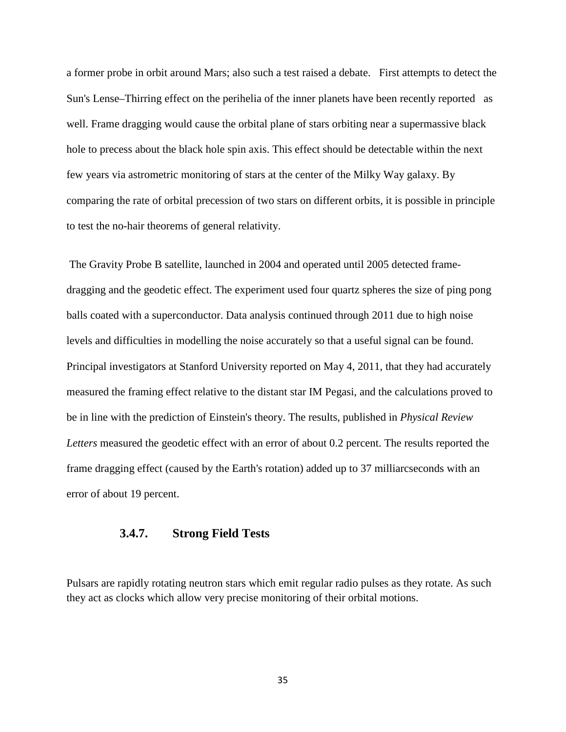a former probe in orbit around Mars; also such a test raised a debate. First attempts to detect the Sun's Lense–Thirring effect on the perihelia of the inner planets have been recently reported as well. Frame dragging would cause the orbital plane of stars orbiting near a supermassive black hole to precess about the black hole spin axis. This effect should be detectable within the next few years via astrometric monitoring of stars at the center of the Milky Way galaxy. By comparing the rate of orbital precession of two stars on different orbits, it is possible in principle to test the no-hair theorems of general relativity.

 The Gravity Probe B satellite, launched in 2004 and operated until 2005 detected framedragging and the geodetic effect. The experiment used four quartz spheres the size of ping pong balls coated with a superconductor. Data analysis continued through 2011 due to high noise levels and difficulties in modelling the noise accurately so that a useful signal can be found. Principal investigators at Stanford University reported on May 4, 2011, that they had accurately measured the framing effect relative to the distant star IM Pegasi, and the calculations proved to be in line with the prediction of Einstein's theory. The results, published in *Physical Review Letters* measured the geodetic effect with an error of about 0.2 percent. The results reported the frame dragging effect (caused by the Earth's rotation) added up to 37 milliarcseconds with an error of about 19 percent.

#### **3.4.7. Strong Field Tests**

Pulsars are rapidly rotating neutron stars which emit regular radio pulses as they rotate. As such they act as clocks which allow very precise monitoring of their orbital motions.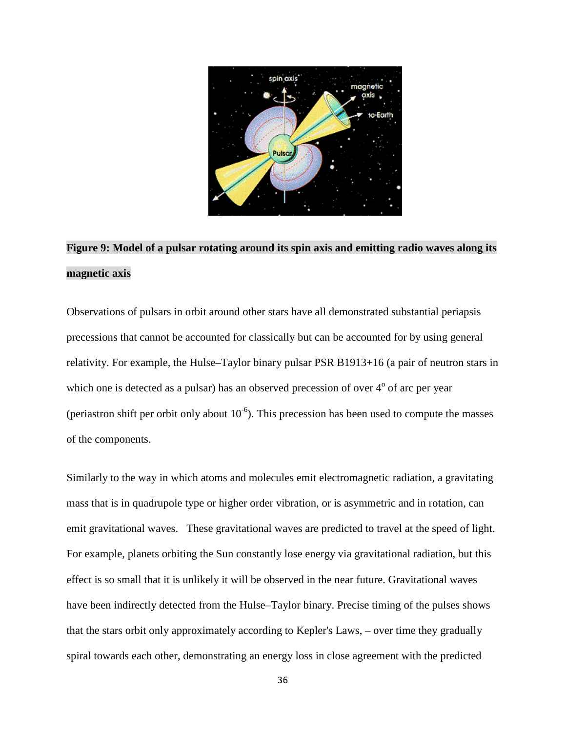

# **Figure 9: Model of a pulsar rotating around its spin axis and emitting radio waves along its magnetic axis**

Observations of pulsars in orbit around other stars have all demonstrated substantial periapsis precessions that cannot be accounted for classically but can be accounted for by using general relativity. For example, the Hulse–Taylor binary pulsar PSR B1913+16 (a pair of neutron stars in which one is detected as a pulsar) has an observed precession of over 4° of arc per year (periastron shift per orbit only about  $10^{-6}$ ). This precession has been used to compute the masses of the components.

Similarly to the way in which atoms and molecules emit electromagnetic radiation, a gravitating mass that is in quadrupole type or higher order vibration, or is asymmetric and in rotation, can emit gravitational waves. These gravitational waves are predicted to travel at the speed of light. For example, planets orbiting the Sun constantly lose energy via gravitational radiation, but this effect is so small that it is unlikely it will be observed in the near future. Gravitational waves have been indirectly detected from the Hulse–Taylor binary. Precise timing of the pulses shows that the stars orbit only approximately according to Kepler's Laws, – over time they gradually spiral towards each other, demonstrating an energy loss in close agreement with the predicted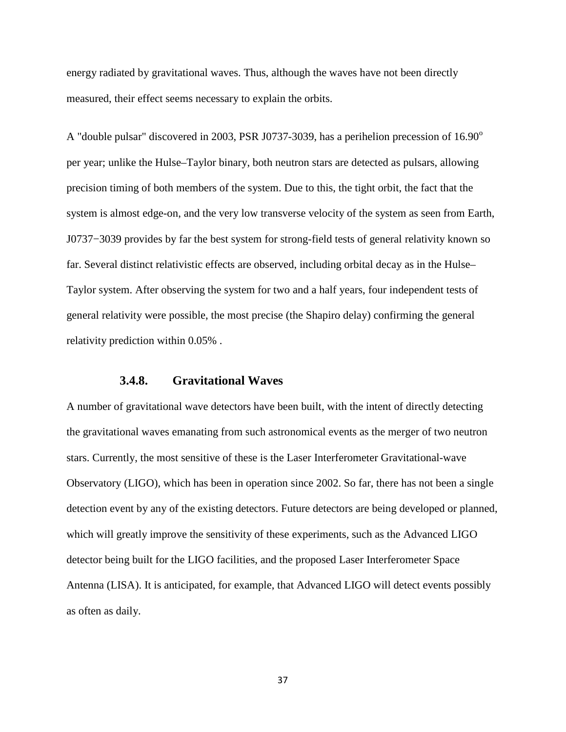energy radiated by gravitational waves. Thus, although the waves have not been directly measured, their effect seems necessary to explain the orbits.

A "double pulsar" discovered in 2003, PSR J0737-3039, has a perihelion precession of 16.90° per year; unlike the Hulse–Taylor binary, both neutron stars are detected as pulsars, allowing precision timing of both members of the system. Due to this, the tight orbit, the fact that the system is almost edge-on, and the very low transverse velocity of the system as seen from Earth, J0737−3039 provides by far the best system for strong-field tests of general relativity known so far. Several distinct relativistic effects are observed, including orbital decay as in the Hulse– Taylor system. After observing the system for two and a half years, four independent tests of general relativity were possible, the most precise (the Shapiro delay) confirming the general relativity prediction within 0.05% .

#### **3.4.8. Gravitational Waves**

A number of gravitational wave detectors have been built, with the intent of directly detecting the gravitational waves emanating from such astronomical events as the merger of two neutron stars. Currently, the most sensitive of these is the Laser Interferometer Gravitational-wave Observatory (LIGO), which has been in operation since 2002. So far, there has not been a single detection event by any of the existing detectors. Future detectors are being developed or planned, which will greatly improve the sensitivity of these experiments, such as the Advanced LIGO detector being built for the LIGO facilities, and the proposed Laser Interferometer Space Antenna (LISA). It is anticipated, for example, that Advanced LIGO will detect events possibly as often as daily.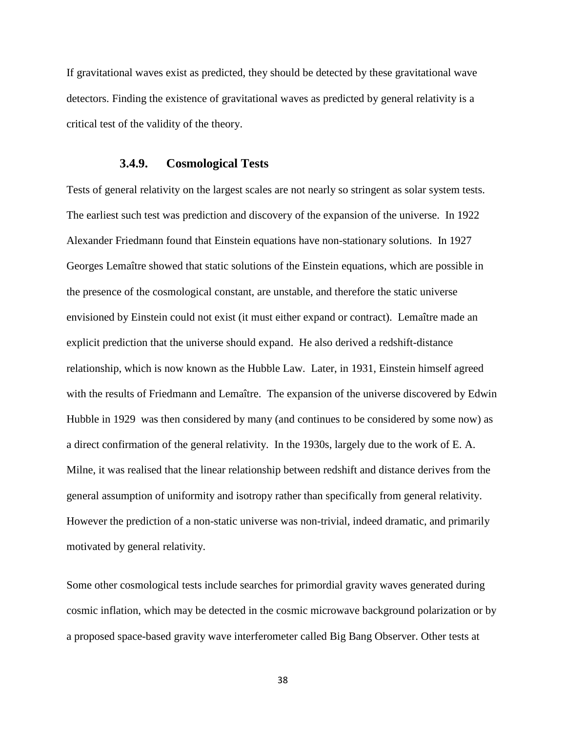If gravitational waves exist as predicted, they should be detected by these gravitational wave detectors. Finding the existence of gravitational waves as predicted by general relativity is a critical test of the validity of the theory.

#### **3.4.9. Cosmological Tests**

Tests of general relativity on the largest scales are not nearly so stringent as solar system tests. The earliest such test was prediction and discovery of the expansion of the universe. In 1922 Alexander Friedmann found that Einstein equations have non-stationary solutions. In 1927 Georges Lemaître showed that static solutions of the Einstein equations, which are possible in the presence of the cosmological constant, are unstable, and therefore the static universe envisioned by Einstein could not exist (it must either expand or contract). Lemaître made an explicit prediction that the universe should expand. He also derived a redshift-distance relationship, which is now known as the Hubble Law. Later, in 1931, Einstein himself agreed with the results of Friedmann and Lemaître. The expansion of the universe discovered by Edwin Hubble in 1929 was then considered by many (and continues to be considered by some now) as a direct confirmation of the general relativity. In the 1930s, largely due to the work of E. A. Milne, it was realised that the linear relationship between redshift and distance derives from the general assumption of uniformity and isotropy rather than specifically from general relativity. However the prediction of a non-static universe was non-trivial, indeed dramatic, and primarily motivated by general relativity.

Some other cosmological tests include searches for primordial gravity waves generated during cosmic inflation, which may be detected in the cosmic microwave background polarization or by a proposed space-based gravity wave interferometer called Big Bang Observer. Other tests at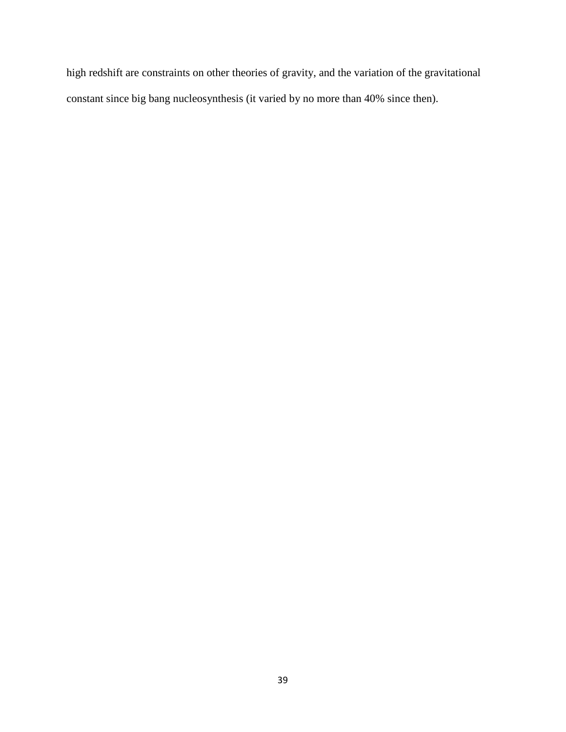high redshift are constraints on other theories of gravity, and the variation of the gravitational constant since big bang nucleosynthesis (it varied by no more than 40% since then).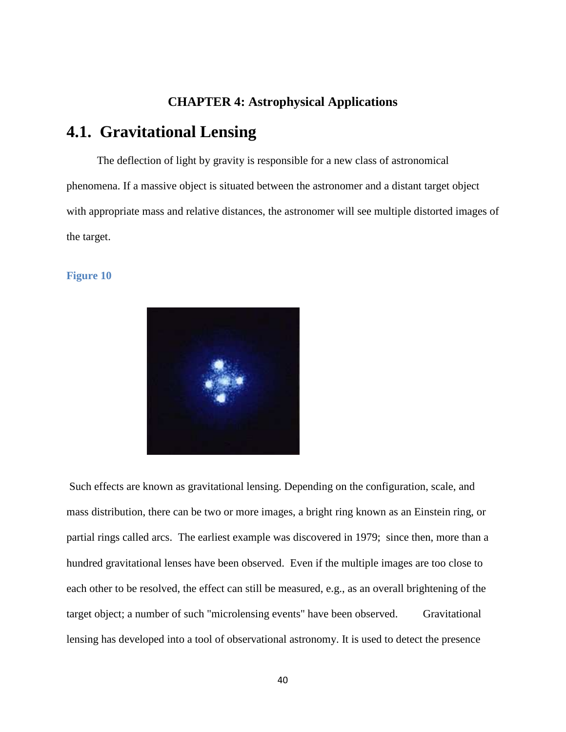#### **CHAPTER 4: Astrophysical Applications**

# **4.1. Gravitational Lensing**

 The deflection of light by gravity is responsible for a new class of astronomical phenomena. If a massive object is situated between the astronomer and a distant target object with appropriate mass and relative distances, the astronomer will see multiple distorted images of the target.

#### **Figure 10**



 Such effects are known as gravitational lensing. Depending on the configuration, scale, and mass distribution, there can be two or more images, a bright ring known as an Einstein ring, or partial rings called arcs. The earliest example was discovered in 1979; since then, more than a hundred gravitational lenses have been observed. Even if the multiple images are too close to each other to be resolved, the effect can still be measured, e.g., as an overall brightening of the target object; a number of such "microlensing events" have been observed. Gravitational lensing has developed into a tool of observational astronomy. It is used to detect the presence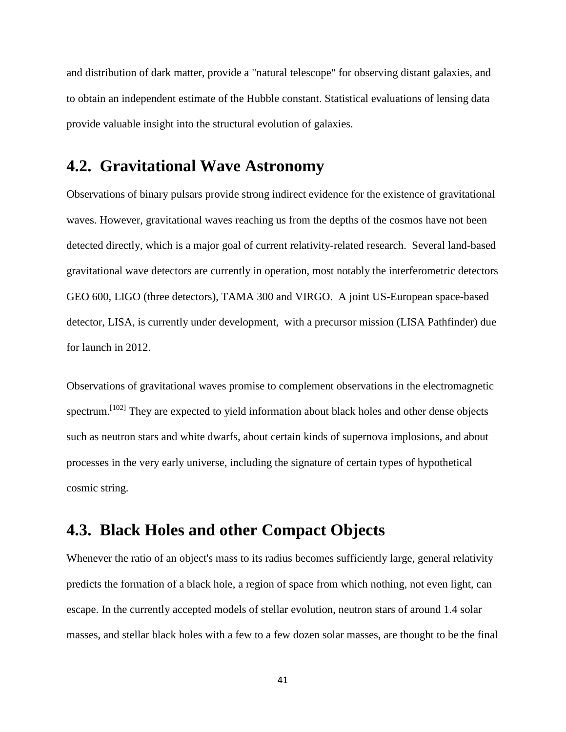and distribution of dark matter, provide a "natural telescope" for observing distant galaxies, and to obtain an independent estimate of the Hubble constant. Statistical evaluations of lensing data provide valuable insight into the structural evolution of galaxies.

# **4.2. Gravitational Wave Astronomy**

Observations of binary pulsars provide strong indirect evidence for the existence of gravitational waves. However, gravitational waves reaching us from the depths of the cosmos have not been detected directly, which is a major goal of current relativity-related research. Several land-based gravitational wave detectors are currently in operation, most notably the interferometric detectors GEO 600, LIGO (three detectors), TAMA 300 and VIRGO. A joint US-European space-based detector, LISA, is currently under development, with a precursor mission (LISA Pathfinder) due for launch in 2012.

Observations of gravitational waves promise to complement observations in the electromagnetic spectrum.<sup>[102]</sup> They are expected to yield information about black holes and other dense objects such as neutron stars and white dwarfs, about certain kinds of supernova implosions, and about processes in the very early universe, including the signature of certain types of hypothetical cosmic string.

### **4.3. Black Holes and other Compact Objects**

Whenever the ratio of an object's mass to its radius becomes sufficiently large, general relativity predicts the formation of a black hole, a region of space from which nothing, not even light, can escape. In the currently accepted models of stellar evolution, neutron stars of around 1.4 solar masses, and stellar black holes with a few to a few dozen solar masses, are thought to be the final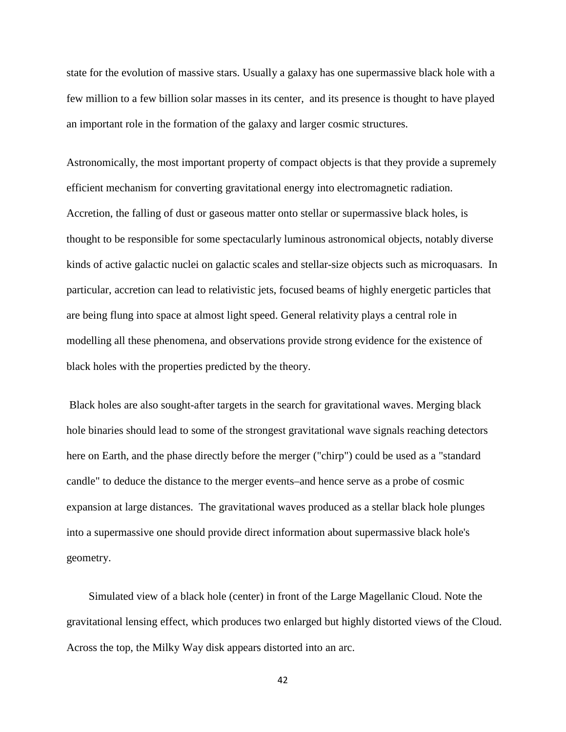state for the evolution of massive stars. Usually a galaxy has one supermassive black hole with a few million to a few billion solar masses in its center, and its presence is thought to have played an important role in the formation of the galaxy and larger cosmic structures.

Astronomically, the most important property of compact objects is that they provide a supremely efficient mechanism for converting gravitational energy into electromagnetic radiation. Accretion, the falling of dust or gaseous matter onto stellar or supermassive black holes, is thought to be responsible for some spectacularly luminous astronomical objects, notably diverse kinds of active galactic nuclei on galactic scales and stellar-size objects such as microquasars. In particular, accretion can lead to relativistic jets, focused beams of highly energetic particles that are being flung into space at almost light speed. General relativity plays a central role in modelling all these phenomena, and observations provide strong evidence for the existence of black holes with the properties predicted by the theory.

 Black holes are also sought-after targets in the search for gravitational waves. Merging black hole binaries should lead to some of the strongest gravitational wave signals reaching detectors here on Earth, and the phase directly before the merger ("chirp") could be used as a "standard candle" to deduce the distance to the merger events–and hence serve as a probe of cosmic expansion at large distances. The gravitational waves produced as a stellar black hole plunges into a supermassive one should provide direct information about supermassive black hole's geometry.

Simulated view of a black hole (center) in front of the Large Magellanic Cloud. Note the gravitational lensing effect, which produces two enlarged but highly distorted views of the Cloud. Across the top, the Milky Way disk appears distorted into an arc.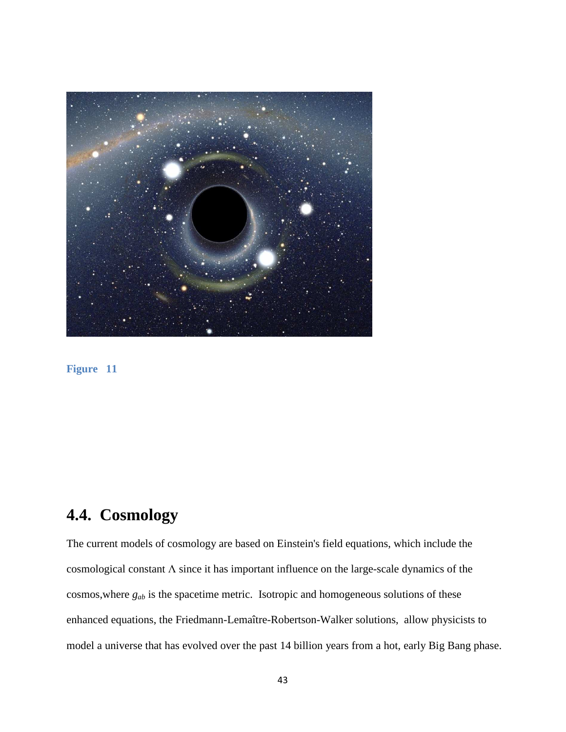

**Figure 11**

# **4.4. Cosmology**

The current models of cosmology are based on Einstein's field equations, which include the cosmological constant Λ since it has important influence on the large-scale dynamics of the cosmos,where *gab* is the spacetime metric. Isotropic and homogeneous solutions of these enhanced equations, the Friedmann-Lemaître-Robertson-Walker solutions, allow physicists to model a universe that has evolved over the past 14 billion years from a hot, early Big Bang phase.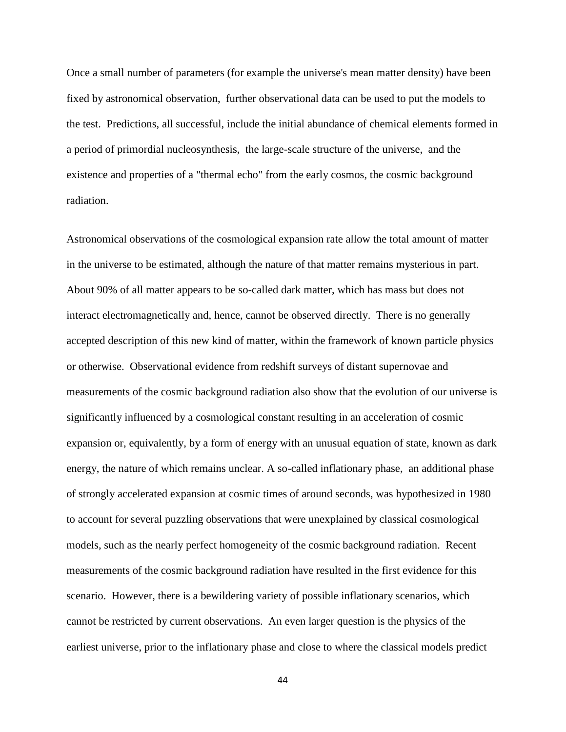Once a small number of parameters (for example the universe's mean matter density) have been fixed by astronomical observation, further observational data can be used to put the models to the test. Predictions, all successful, include the initial abundance of chemical elements formed in a period of primordial nucleosynthesis, the large-scale structure of the universe, and the existence and properties of a "thermal echo" from the early cosmos, the cosmic background radiation.

Astronomical observations of the cosmological expansion rate allow the total amount of matter in the universe to be estimated, although the nature of that matter remains mysterious in part. About 90% of all matter appears to be so-called dark matter, which has mass but does not interact electromagnetically and, hence, cannot be observed directly. There is no generally accepted description of this new kind of matter, within the framework of known particle physics or otherwise. Observational evidence from redshift surveys of distant supernovae and measurements of the cosmic background radiation also show that the evolution of our universe is significantly influenced by a cosmological constant resulting in an acceleration of cosmic expansion or, equivalently, by a form of energy with an unusual equation of state, known as dark energy, the nature of which remains unclear. A so-called inflationary phase, an additional phase of strongly accelerated expansion at cosmic times of around seconds, was hypothesized in 1980 to account for several puzzling observations that were unexplained by classical cosmological models, such as the nearly perfect homogeneity of the cosmic background radiation. Recent measurements of the cosmic background radiation have resulted in the first evidence for this scenario. However, there is a bewildering variety of possible inflationary scenarios, which cannot be restricted by current observations. An even larger question is the physics of the earliest universe, prior to the inflationary phase and close to where the classical models predict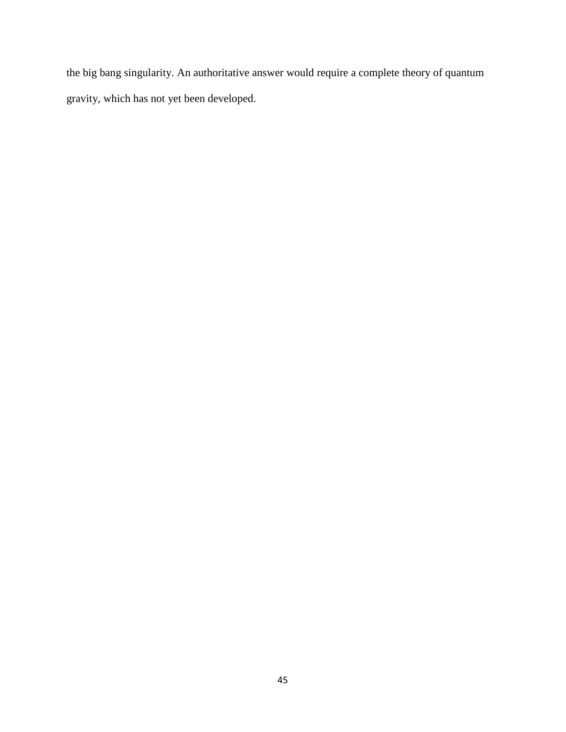the big bang singularity. An authoritative answer would require a complete theory of quantum gravity, which has not yet been developed.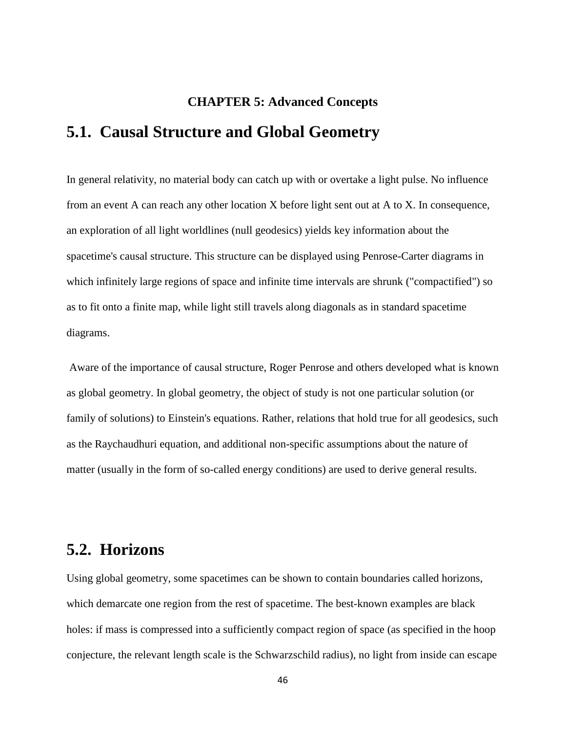# **CHAPTER 5: Advanced Concepts 5.1. Causal Structure and Global Geometry**

In general relativity, no material body can catch up with or overtake a light pulse. No influence from an event A can reach any other location X before light sent out at A to X. In consequence, an exploration of all light worldlines (null geodesics) yields key information about the spacetime's causal structure. This structure can be displayed using Penrose-Carter diagrams in which infinitely large regions of space and infinite time intervals are shrunk ("compactified") so as to fit onto a finite map, while light still travels along diagonals as in standard spacetime diagrams.

 Aware of the importance of causal structure, Roger Penrose and others developed what is known as global geometry. In global geometry, the object of study is not one particular solution (or family of solutions) to Einstein's equations. Rather, relations that hold true for all geodesics, such as the Raychaudhuri equation, and additional non-specific assumptions about the nature of matter (usually in the form of so-called energy conditions) are used to derive general results.

## **5.2. Horizons**

Using global geometry, some spacetimes can be shown to contain boundaries called horizons, which demarcate one region from the rest of spacetime. The best-known examples are black holes: if mass is compressed into a sufficiently compact region of space (as specified in the hoop conjecture, the relevant length scale is the Schwarzschild radius), no light from inside can escape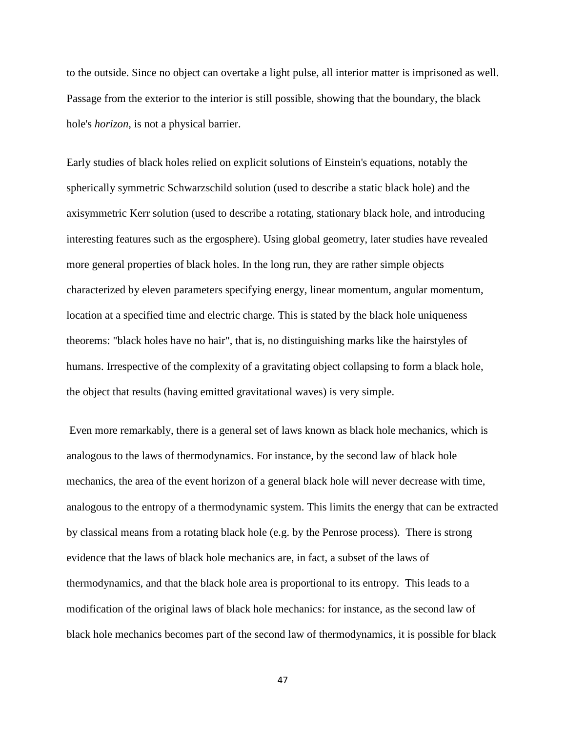to the outside. Since no object can overtake a light pulse, all interior matter is imprisoned as well. Passage from the exterior to the interior is still possible, showing that the boundary, the black hole's *horizon*, is not a physical barrier.

Early studies of black holes relied on explicit solutions of Einstein's equations, notably the spherically symmetric Schwarzschild solution (used to describe a static black hole) and the axisymmetric Kerr solution (used to describe a rotating, stationary black hole, and introducing interesting features such as the ergosphere). Using global geometry, later studies have revealed more general properties of black holes. In the long run, they are rather simple objects characterized by eleven parameters specifying energy, linear momentum, angular momentum, location at a specified time and electric charge. This is stated by the black hole uniqueness theorems: "black holes have no hair", that is, no distinguishing marks like the hairstyles of humans. Irrespective of the complexity of a gravitating object collapsing to form a black hole, the object that results (having emitted gravitational waves) is very simple.

 Even more remarkably, there is a general set of laws known as black hole mechanics, which is analogous to the laws of thermodynamics. For instance, by the second law of black hole mechanics, the area of the event horizon of a general black hole will never decrease with time, analogous to the entropy of a thermodynamic system. This limits the energy that can be extracted by classical means from a rotating black hole (e.g. by the Penrose process). There is strong evidence that the laws of black hole mechanics are, in fact, a subset of the laws of thermodynamics, and that the black hole area is proportional to its entropy. This leads to a modification of the original laws of black hole mechanics: for instance, as the second law of black hole mechanics becomes part of the second law of thermodynamics, it is possible for black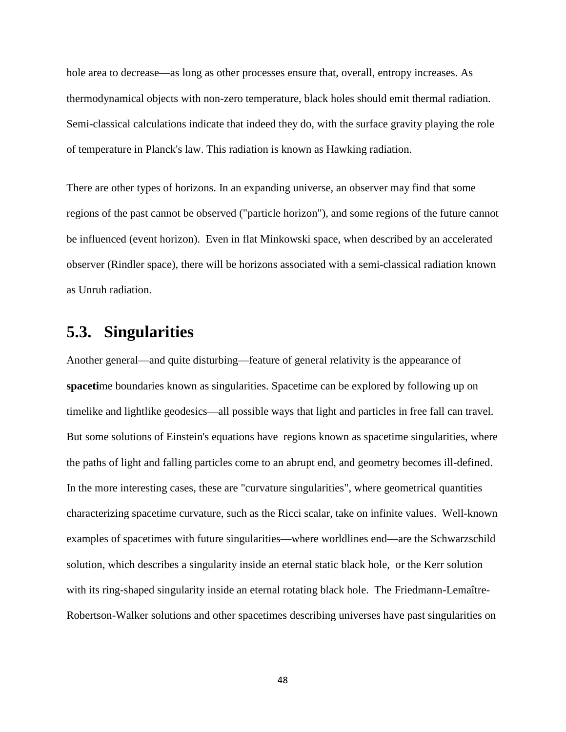hole area to decrease—as long as other processes ensure that, overall, entropy increases. As thermodynamical objects with non-zero temperature, black holes should emit thermal radiation. Semi-classical calculations indicate that indeed they do, with the surface gravity playing the role of temperature in Planck's law. This radiation is known as Hawking radiation.

There are other types of horizons. In an expanding universe, an observer may find that some regions of the past cannot be observed ("particle horizon"), and some regions of the future cannot be influenced (event horizon). Even in flat Minkowski space, when described by an accelerated observer (Rindler space), there will be horizons associated with a semi-classical radiation known as Unruh radiation.

## **5.3. Singularities**

Another general—and quite disturbing—feature of general relativity is the appearance of **spaceti**me boundaries known as singularities. Spacetime can be explored by following up on timelike and lightlike geodesics—all possible ways that light and particles in free fall can travel. But some solutions of Einstein's equations have regions known as spacetime singularities, where the paths of light and falling particles come to an abrupt end, and geometry becomes ill-defined. In the more interesting cases, these are "curvature singularities", where geometrical quantities characterizing spacetime curvature, such as the Ricci scalar, take on infinite values. Well-known examples of spacetimes with future singularities—where worldlines end—are the Schwarzschild solution, which describes a singularity inside an eternal static black hole, or the Kerr solution with its ring-shaped singularity inside an eternal rotating black hole. The Friedmann-Lemaître-Robertson-Walker solutions and other spacetimes describing universes have past singularities on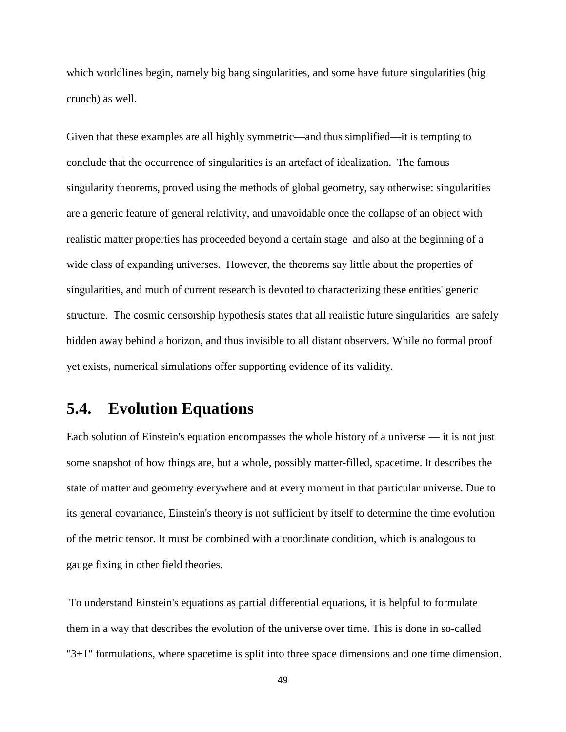which worldlines begin, namely big bang singularities, and some have future singularities (big crunch) as well.

Given that these examples are all highly symmetric—and thus simplified—it is tempting to conclude that the occurrence of singularities is an artefact of idealization. The famous singularity theorems, proved using the methods of global geometry, say otherwise: singularities are a generic feature of general relativity, and unavoidable once the collapse of an object with realistic matter properties has proceeded beyond a certain stage and also at the beginning of a wide class of expanding universes. However, the theorems say little about the properties of singularities, and much of current research is devoted to characterizing these entities' generic structure. The cosmic censorship hypothesis states that all realistic future singularities are safely hidden away behind a horizon, and thus invisible to all distant observers. While no formal proof yet exists, numerical simulations offer supporting evidence of its validity.

# **5.4. Evolution Equations**

Each solution of Einstein's equation encompasses the whole history of a universe — it is not just some snapshot of how things are, but a whole, possibly matter-filled, spacetime. It describes the state of matter and geometry everywhere and at every moment in that particular universe. Due to its general covariance, Einstein's theory is not sufficient by itself to determine the time evolution of the metric tensor. It must be combined with a coordinate condition, which is analogous to gauge fixing in other field theories.

 To understand Einstein's equations as partial differential equations, it is helpful to formulate them in a way that describes the evolution of the universe over time. This is done in so-called "3+1" formulations, where spacetime is split into three space dimensions and one time dimension.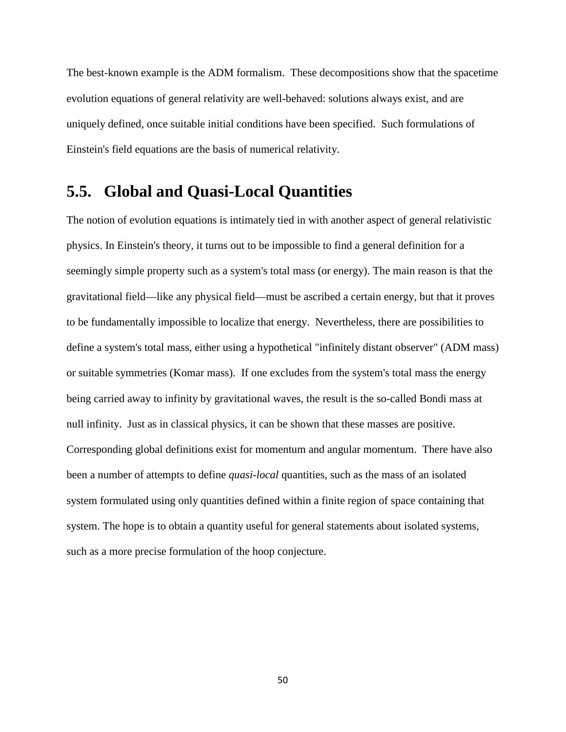The best-known example is the ADM formalism. These decompositions show that the spacetime evolution equations of general relativity are well-behaved: solutions always exist, and are uniquely defined, once suitable initial conditions have been specified. Such formulations of Einstein's field equations are the basis of numerical relativity.

### **5.5. Global and Quasi-Local Quantities**

The notion of evolution equations is intimately tied in with another aspect of general relativistic physics. In Einstein's theory, it turns out to be impossible to find a general definition for a seemingly simple property such as a system's total mass (or energy). The main reason is that the gravitational field—like any physical field—must be ascribed a certain energy, but that it proves to be fundamentally impossible to localize that energy. Nevertheless, there are possibilities to define a system's total mass, either using a hypothetical "infinitely distant observer" (ADM mass) or suitable symmetries (Komar mass). If one excludes from the system's total mass the energy being carried away to infinity by gravitational waves, the result is the so-called Bondi mass at null infinity. Just as in classical physics, it can be shown that these masses are positive. Corresponding global definitions exist for momentum and angular momentum. There have also been a number of attempts to define *quasi-local* quantities, such as the mass of an isolated system formulated using only quantities defined within a finite region of space containing that system. The hope is to obtain a quantity useful for general statements about isolated systems, such as a more precise formulation of the hoop conjecture.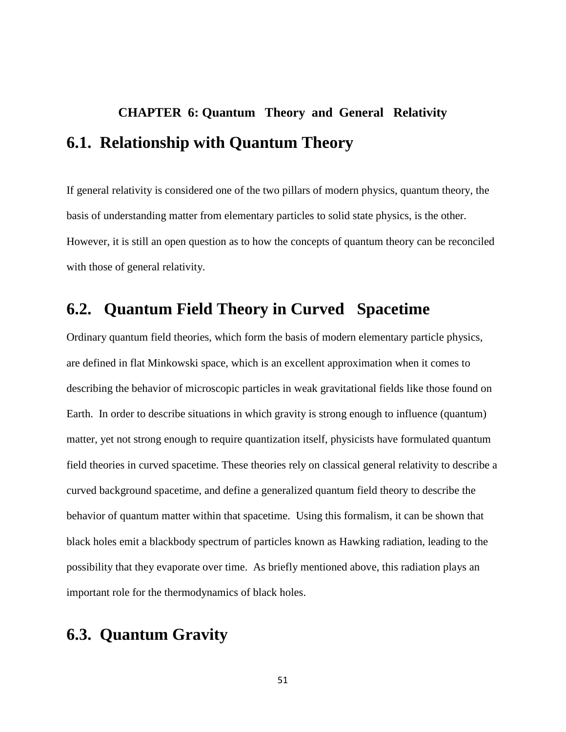# **CHAPTER 6: Quantum Theory and General Relativity 6.1. Relationship with Quantum Theory**

If general relativity is considered one of the two pillars of modern physics, quantum theory, the basis of understanding matter from elementary particles to solid state physics, is the other. However, it is still an open question as to how the concepts of quantum theory can be reconciled with those of general relativity.

# **6.2. Quantum Field Theory in Curved Spacetime**

Ordinary quantum field theories, which form the basis of modern elementary particle physics, are defined in flat Minkowski space, which is an excellent approximation when it comes to describing the behavior of microscopic particles in weak gravitational fields like those found on Earth. In order to describe situations in which gravity is strong enough to influence (quantum) matter, yet not strong enough to require quantization itself, physicists have formulated quantum field theories in curved spacetime. These theories rely on classical general relativity to describe a curved background spacetime, and define a generalized quantum field theory to describe the behavior of quantum matter within that spacetime. Using this formalism, it can be shown that black holes emit a blackbody spectrum of particles known as Hawking radiation, leading to the possibility that they evaporate over time. As briefly mentioned above, this radiation plays an important role for the thermodynamics of black holes.

## **6.3. Quantum Gravity**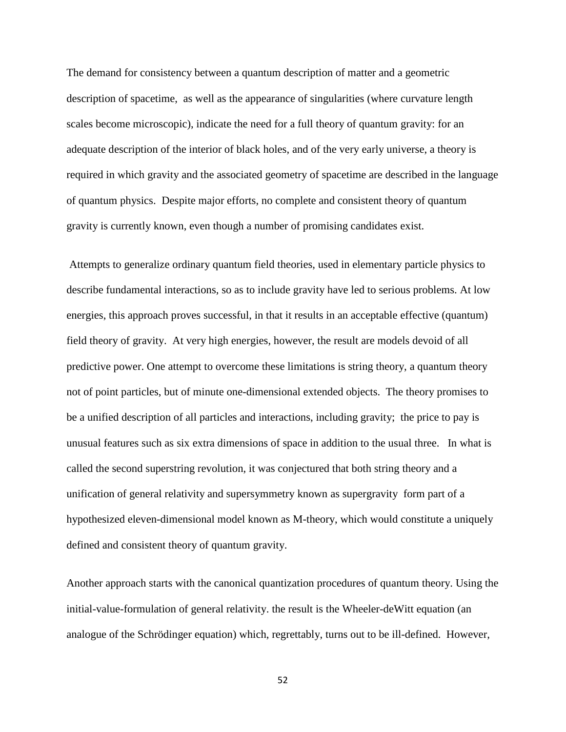The demand for consistency between a quantum description of matter and a geometric description of spacetime, as well as the appearance of singularities (where curvature length scales become microscopic), indicate the need for a full theory of quantum gravity: for an adequate description of the interior of black holes, and of the very early universe, a theory is required in which gravity and the associated geometry of spacetime are described in the language of quantum physics. Despite major efforts, no complete and consistent theory of quantum gravity is currently known, even though a number of promising candidates exist.

 Attempts to generalize ordinary quantum field theories, used in elementary particle physics to describe fundamental interactions, so as to include gravity have led to serious problems. At low energies, this approach proves successful, in that it results in an acceptable effective (quantum) field theory of gravity. At very high energies, however, the result are models devoid of all predictive power. One attempt to overcome these limitations is string theory, a quantum theory not of point particles, but of minute one-dimensional extended objects. The theory promises to be a unified description of all particles and interactions, including gravity; the price to pay is unusual features such as six extra dimensions of space in addition to the usual three. In what is called the second superstring revolution, it was conjectured that both string theory and a unification of general relativity and supersymmetry known as supergravity form part of a hypothesized eleven-dimensional model known as M-theory, which would constitute a uniquely defined and consistent theory of quantum gravity.

Another approach starts with the canonical quantization procedures of quantum theory. Using the initial-value-formulation of general relativity. the result is the Wheeler-deWitt equation (an analogue of the Schrödinger equation) which, regrettably, turns out to be ill-defined. However,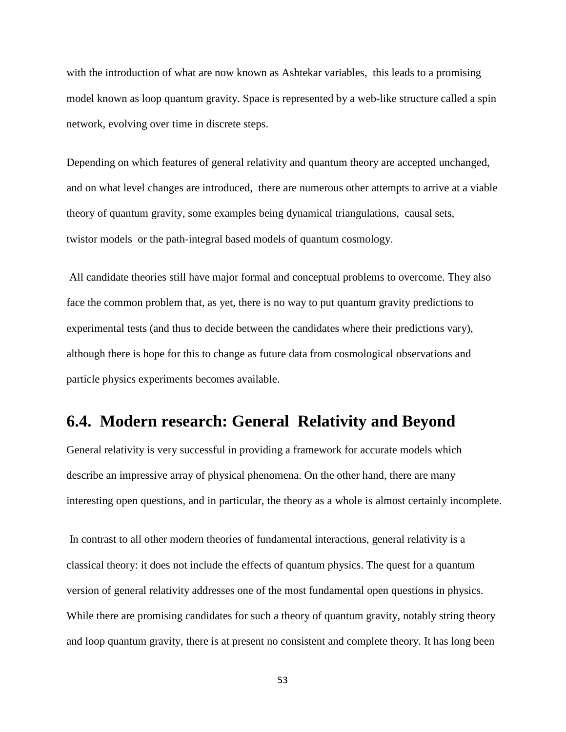with the introduction of what are now known as Ashtekar variables, this leads to a promising model known as loop quantum gravity. Space is represented by a web-like structure called a spin network, evolving over time in discrete steps.

Depending on which features of general relativity and quantum theory are accepted unchanged, and on what level changes are introduced, there are numerous other attempts to arrive at a viable theory of quantum gravity, some examples being dynamical triangulations, causal sets, twistor models or the path-integral based models of quantum cosmology.

 All candidate theories still have major formal and conceptual problems to overcome. They also face the common problem that, as yet, there is no way to put quantum gravity predictions to experimental tests (and thus to decide between the candidates where their predictions vary), although there is hope for this to change as future data from cosmological observations and particle physics experiments becomes available.

### **6.4. Modern research: General Relativity and Beyond**

General relativity is very successful in providing a framework for accurate models which describe an impressive array of physical phenomena. On the other hand, there are many interesting open questions, and in particular, the theory as a whole is almost certainly incomplete.

 In contrast to all other modern theories of fundamental interactions, general relativity is a classical theory: it does not include the effects of quantum physics. The quest for a quantum version of general relativity addresses one of the most fundamental open questions in physics. While there are promising candidates for such a theory of quantum gravity, notably string theory and loop quantum gravity, there is at present no consistent and complete theory. It has long been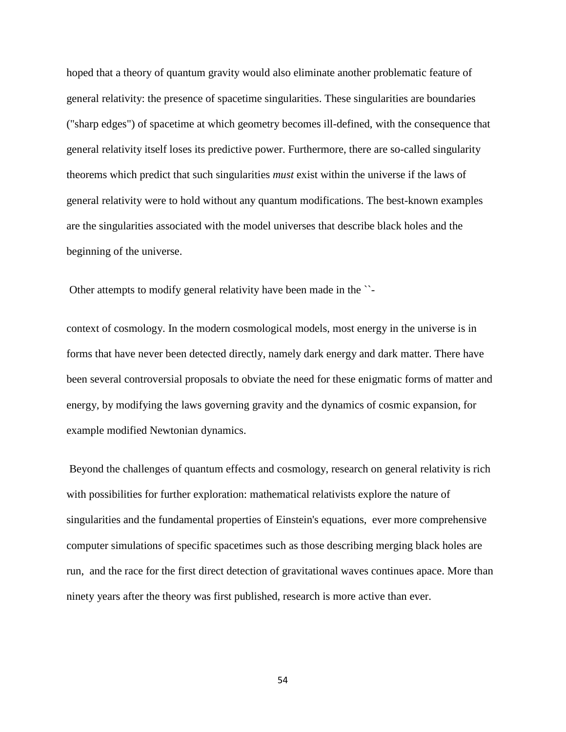hoped that a theory of quantum gravity would also eliminate another problematic feature of general relativity: the presence of spacetime singularities. These singularities are boundaries ("sharp edges") of spacetime at which geometry becomes ill-defined, with the consequence that general relativity itself loses its predictive power. Furthermore, there are so-called singularity theorems which predict that such singularities *must* exist within the universe if the laws of general relativity were to hold without any quantum modifications. The best-known examples are the singularities associated with the model universes that describe black holes and the beginning of the universe.

Other attempts to modify general relativity have been made in the ``-

context of cosmology. In the modern cosmological models, most energy in the universe is in forms that have never been detected directly, namely dark energy and dark matter. There have been several controversial proposals to obviate the need for these enigmatic forms of matter and energy, by modifying the laws governing gravity and the dynamics of cosmic expansion, for example modified Newtonian dynamics.

 Beyond the challenges of quantum effects and cosmology, research on general relativity is rich with possibilities for further exploration: mathematical relativists explore the nature of singularities and the fundamental properties of Einstein's equations, ever more comprehensive computer simulations of specific spacetimes such as those describing merging black holes are run, and the race for the first direct detection of gravitational waves continues apace. More than ninety years after the theory was first published, research is more active than ever.